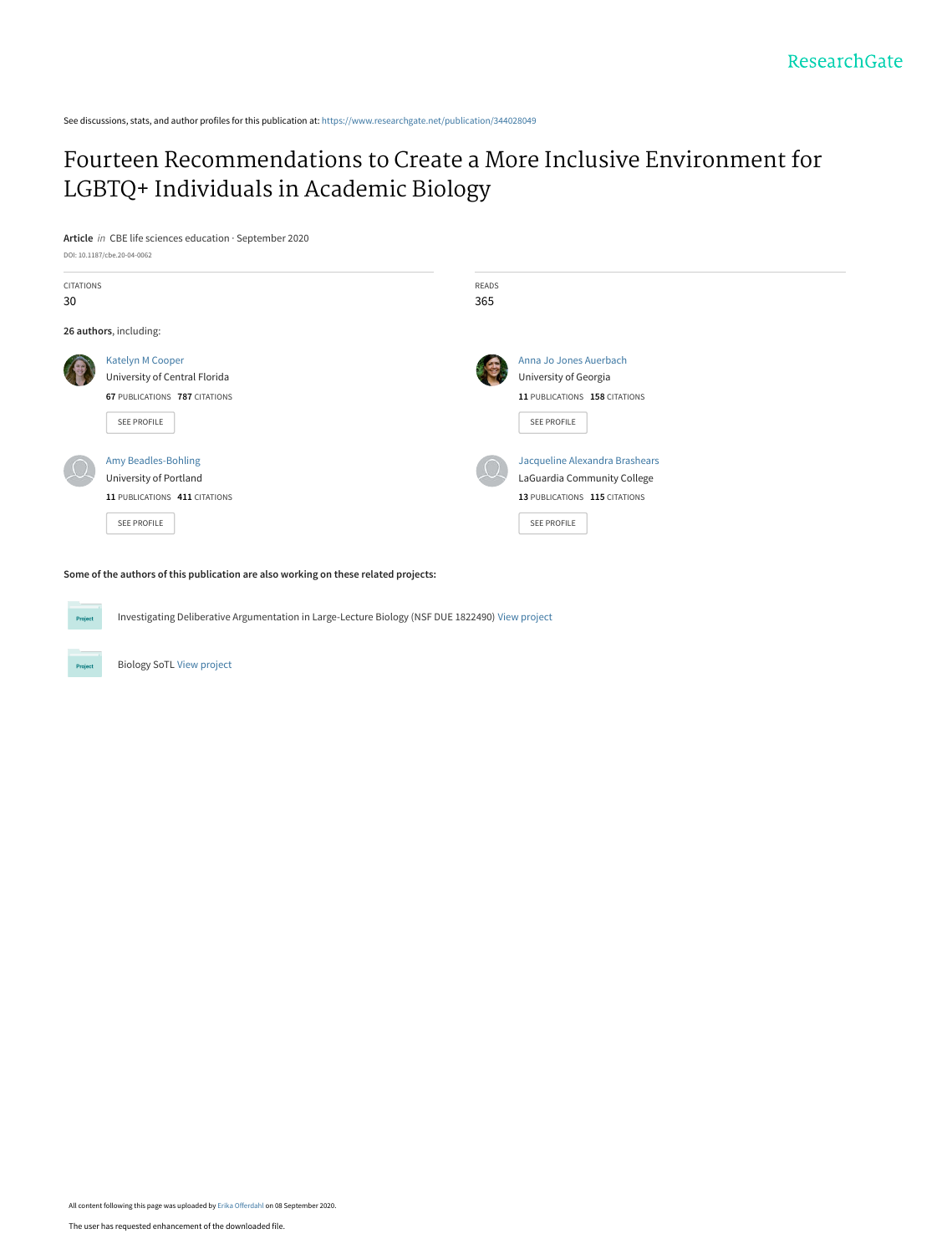See discussions, stats, and author profiles for this publication at: [https://www.researchgate.net/publication/344028049](https://www.researchgate.net/publication/344028049_Fourteen_Recommendations_to_Create_a_More_Inclusive_Environment_for_LGBTQ_Individuals_in_Academic_Biology?enrichId=rgreq-78d5392ccc4dd2f24ae31fcb6a5da48c-XXX&enrichSource=Y292ZXJQYWdlOzM0NDAyODA0OTtBUzo5MzM1NzgwMjQxODU4NTdAMTU5OTU5Mzc1NDc3OA%3D%3D&el=1_x_2&_esc=publicationCoverPdf)

[Fourteen Recommendations to Create a More Inclusive Environment for](https://www.researchgate.net/publication/344028049_Fourteen_Recommendations_to_Create_a_More_Inclusive_Environment_for_LGBTQ_Individuals_in_Academic_Biology?enrichId=rgreq-78d5392ccc4dd2f24ae31fcb6a5da48c-XXX&enrichSource=Y292ZXJQYWdlOzM0NDAyODA0OTtBUzo5MzM1NzgwMjQxODU4NTdAMTU5OTU5Mzc1NDc3OA%3D%3D&el=1_x_3&_esc=publicationCoverPdf) LGBTQ+ Individuals in Academic Biology

**Article** in CBE life sciences education · September 2020



**Some of the authors of this publication are also working on these related projects:**

Investigating Deliberative Argumentation in Large-Lecture Biology (NSF DUE 1822490) [View project](https://www.researchgate.net/project/Investigating-Deliberative-Argumentation-in-Large-Lecture-Biology-NSF-DUE-1822490?enrichId=rgreq-78d5392ccc4dd2f24ae31fcb6a5da48c-XXX&enrichSource=Y292ZXJQYWdlOzM0NDAyODA0OTtBUzo5MzM1NzgwMjQxODU4NTdAMTU5OTU5Mzc1NDc3OA%3D%3D&el=1_x_9&_esc=publicationCoverPdf)

Biology SoTL [View project](https://www.researchgate.net/project/Biology-SoTL?enrichId=rgreq-78d5392ccc4dd2f24ae31fcb6a5da48c-XXX&enrichSource=Y292ZXJQYWdlOzM0NDAyODA0OTtBUzo5MzM1NzgwMjQxODU4NTdAMTU5OTU5Mzc1NDc3OA%3D%3D&el=1_x_9&_esc=publicationCoverPdf)

All content following this page was uploaded by [Erika Offerdahl](https://www.researchgate.net/profile/Erika-Offerdahl?enrichId=rgreq-78d5392ccc4dd2f24ae31fcb6a5da48c-XXX&enrichSource=Y292ZXJQYWdlOzM0NDAyODA0OTtBUzo5MzM1NzgwMjQxODU4NTdAMTU5OTU5Mzc1NDc3OA%3D%3D&el=1_x_10&_esc=publicationCoverPdf) on 08 September 2020.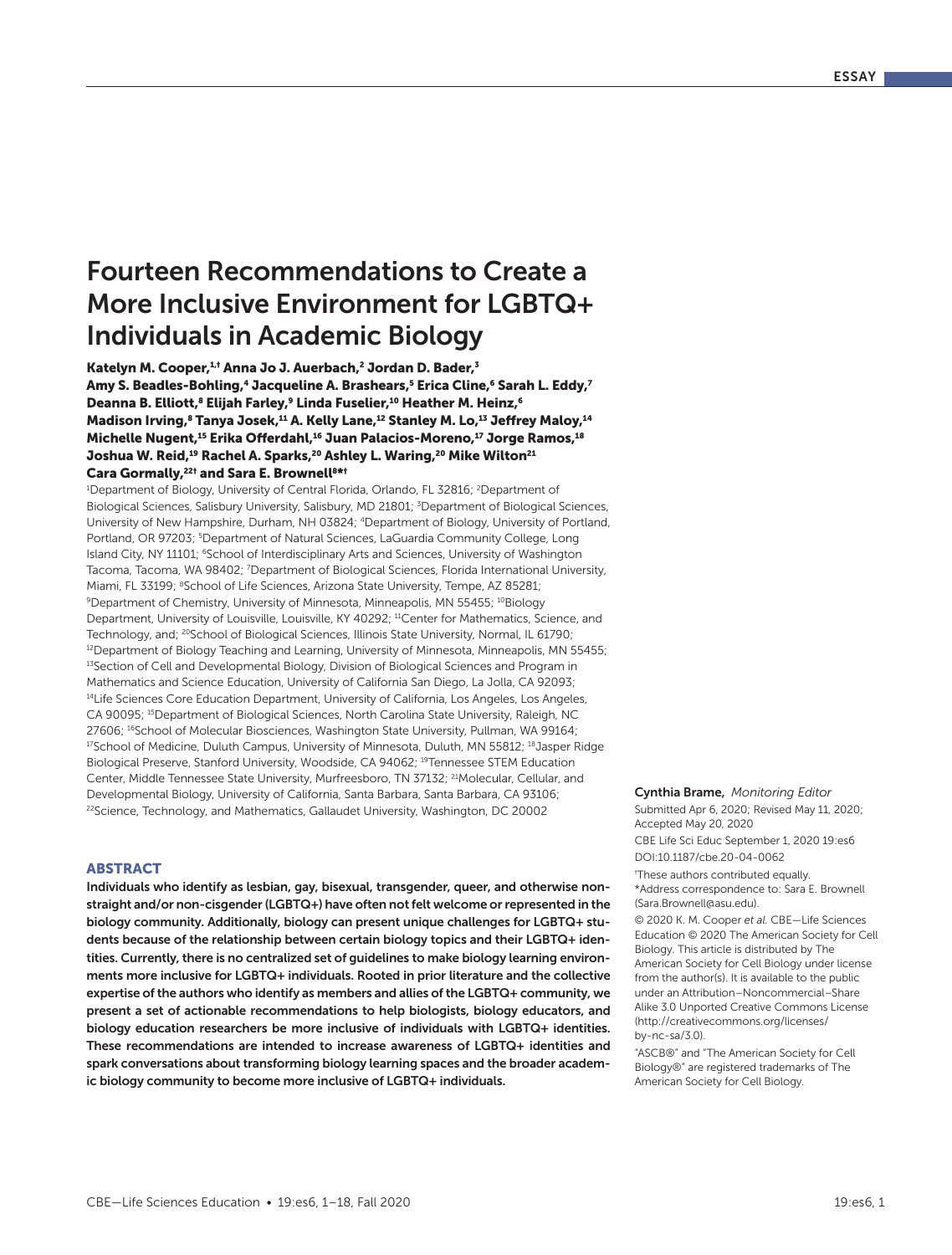# Fourteen Recommendations to Create a More Inclusive Environment for LGBTQ+ Individuals in Academic Biology

Katelyn M. Cooper,<sup>1,†</sup> Anna Jo J. Auerbach,<sup>2</sup> Jordan D. Bader,<sup>3</sup> Amy S. Beadles-Bohling,<sup>4</sup> Jacqueline A. Brashears,<sup>5</sup> Erica Cline,<sup>6</sup> Sarah L. Eddy,<sup>7</sup> Deanna B. Elliott,<sup>8</sup> Elijah Farley,<sup>9</sup> Linda Fuselier,<sup>10</sup> Heather M. Heinz,<sup>6</sup> Madison Irving,<sup>8</sup> Tanya Josek,<sup>11</sup> A. Kelly Lane,<sup>12</sup> Stanley M. Lo,<sup>13</sup> Jeffrey Maloy,<sup>14</sup> Michelle Nugent,<sup>15</sup> Erika Offerdahl,<sup>16</sup> Juan Palacios-Moreno,<sup>17</sup> Jorge Ramos,<sup>18</sup> Joshua W. Reid,<sup>19</sup> Rachel A. Sparks,<sup>20</sup> Ashley L. Waring,<sup>20</sup> Mike Wilton<sup>21</sup> Cara Gormally,<sup>22†</sup> and Sara E. Brownell<sup>8\*†</sup>

<sup>1</sup>Department of Biology, University of Central Florida, Orlando, FL 32816; <sup>2</sup>Department of Biological Sciences, Salisbury University, Salisbury, MD 21801; <sup>3</sup>Department of Biological Sciences, University of New Hampshire, Durham, NH 03824; 4Department of Biology, University of Portland, Portland, OR 97203; <sup>5</sup>Department of Natural Sciences, LaGuardia Community College, Long Island City, NY 11101; <sup>6</sup>School of Interdisciplinary Arts and Sciences, University of Washington Tacoma, Tacoma, WA 98402; <sup>7</sup>Department of Biological Sciences, Florida International University, Miami, FL 33199; <sup>8</sup>School of Life Sciences, Arizona State University, Tempe, AZ 85281; 9Department of Chemistry, University of Minnesota, Minneapolis, MN 55455; <sup>10</sup>Biology Department, University of Louisville, Louisville, KY 40292; <sup>11</sup>Center for Mathematics, Science, and Technology, and; <sup>20</sup>School of Biological Sciences, Illinois State University, Normal, IL 61790; <sup>12</sup>Department of Biology Teaching and Learning, University of Minnesota, Minneapolis, MN 55455; <sup>13</sup>Section of Cell and Developmental Biology, Division of Biological Sciences and Program in Mathematics and Science Education, University of California San Diego, La Jolla, CA 92093; <sup>14</sup>Life Sciences Core Education Department, University of California, Los Angeles, Los Angeles, CA 90095; 15Department of Biological Sciences, North Carolina State University, Raleigh, NC 27606; <sup>16</sup>School of Molecular Biosciences, Washington State University, Pullman, WA 99164; <sup>17</sup>School of Medicine, Duluth Campus, University of Minnesota, Duluth, MN 55812; <sup>18</sup>Jasper Ridge Biological Preserve, Stanford University, Woodside, CA 94062; <sup>19</sup>Tennessee STEM Education Center, Middle Tennessee State University, Murfreesboro, TN 37132; <sup>21</sup>Molecular, Cellular, and Developmental Biology, University of California, Santa Barbara, Santa Barbara, CA 93106; <sup>22</sup>Science, Technology, and Mathematics, Gallaudet University, Washington, DC 20002

### **ARSTRACT**

Individuals who identify as lesbian, gay, bisexual, transgender, queer, and otherwise nonstraight and/or non-cisgender (LGBTQ+) have often not felt welcome or represented in the biology community. Additionally, biology can present unique challenges for LGBTQ+ students because of the relationship between certain biology topics and their LGBTQ+ identities. Currently, there is no centralized set of guidelines to make biology learning environments more inclusive for LGBTQ+ individuals. Rooted in prior literature and the collective expertise of the authors who identify as members and allies of the LGBTQ+ community, we present a set of actionable recommendations to help biologists, biology educators, and biology education researchers be more inclusive of individuals with LGBTQ+ identities. These recommendations are intended to increase awareness of LGBTQ+ identities and spark conversations about transforming biology learning spaces and the broader academic biology community to become more inclusive of LGBTQ+ individuals.

#### Cynthia Brame, *Monitoring Editor*

Submitted Apr 6, 2020; Revised May 11, 2020; Accepted May 20, 2020

DOI:10.1187/cbe.20-04-0062 CBE Life Sci Educ September 1, 2020 19:es6

† These authors contributed equally.

\*Address correspondence to: Sara E. Brownell (Sara.Brownell@asu.edu).

© 2020 K. M. Cooper *et al.* CBE—Life Sciences Education © 2020 The American Society for Cell Biology. This article is distributed by The American Society for Cell Biology under license from the author(s). It is available to the public under an Attribution–Noncommercial–Share Alike 3.0 Unported Creative Commons License (http://creativecommons.org/licenses/ by-nc-sa/3.0).

"ASCB®" and "The American Society for Cell Biology®" are registered trademarks of The American Society for Cell Biology.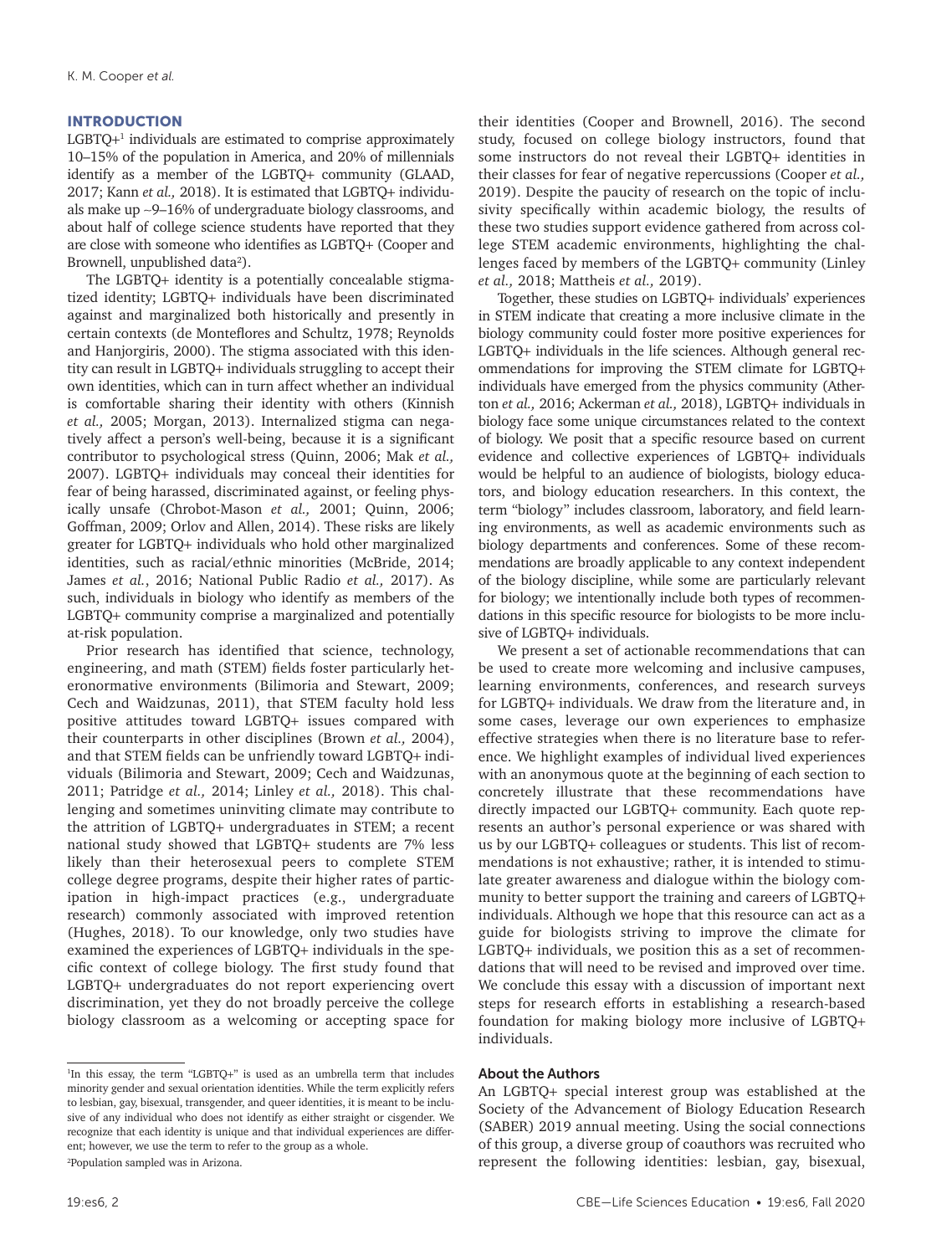### INTRODUCTION

LGBTQ<sup>+1</sup> individuals are estimated to comprise approximately 10–15% of the population in America, and 20% of millennials identify as a member of the LGBTQ+ community (GLAAD, 2017; Kann *et al.,* 2018). It is estimated that LGBTQ+ individuals make up ∼9–16% of undergraduate biology classrooms, and about half of college science students have reported that they are close with someone who identifies as LGBTQ+ (Cooper and Brownell, unpublished data<sup>2</sup>).

The LGBTQ+ identity is a potentially concealable stigmatized identity; LGBTQ+ individuals have been discriminated against and marginalized both historically and presently in certain contexts (de Monteflores and Schultz, 1978; Reynolds and Hanjorgiris, 2000). The stigma associated with this identity can result in LGBTQ+ individuals struggling to accept their own identities, which can in turn affect whether an individual is comfortable sharing their identity with others (Kinnish *et al.,* 2005; Morgan, 2013). Internalized stigma can negatively affect a person's well-being, because it is a significant contributor to psychological stress (Quinn, 2006; Mak *et al.,* 2007). LGBTQ+ individuals may conceal their identities for fear of being harassed, discriminated against, or feeling physically unsafe (Chrobot-Mason *et al.,* 2001; Quinn, 2006; Goffman, 2009; Orlov and Allen, 2014). These risks are likely greater for LGBTQ+ individuals who hold other marginalized identities, such as racial/ethnic minorities (McBride, 2014; James *et al.*, 2016; National Public Radio *et al.,* 2017). As such, individuals in biology who identify as members of the LGBTQ+ community comprise a marginalized and potentially at-risk population.

Prior research has identified that science, technology, engineering, and math (STEM) fields foster particularly heteronormative environments (Bilimoria and Stewart, 2009; Cech and Waidzunas, 2011), that STEM faculty hold less positive attitudes toward LGBTQ+ issues compared with their counterparts in other disciplines (Brown *et al.,* 2004), and that STEM fields can be unfriendly toward LGBTQ+ individuals (Bilimoria and Stewart, 2009; Cech and Waidzunas, 2011; Patridge *et al.,* 2014; Linley *et al.,* 2018). This challenging and sometimes uninviting climate may contribute to the attrition of LGBTQ+ undergraduates in STEM; a recent national study showed that LGBTQ+ students are 7% less likely than their heterosexual peers to complete STEM college degree programs, despite their higher rates of participation in high-impact practices (e.g., undergraduate research) commonly associated with improved retention (Hughes, 2018). To our knowledge, only two studies have examined the experiences of LGBTQ+ individuals in the specific context of college biology. The first study found that LGBTQ+ undergraduates do not report experiencing overt discrimination, yet they do not broadly perceive the college biology classroom as a welcoming or accepting space for their identities (Cooper and Brownell, 2016). The second study, focused on college biology instructors, found that some instructors do not reveal their LGBTQ+ identities in their classes for fear of negative repercussions (Cooper *et al.,* 2019). Despite the paucity of research on the topic of inclusivity specifically within academic biology, the results of these two studies support evidence gathered from across college STEM academic environments, highlighting the challenges faced by members of the LGBTQ+ community (Linley *et al.,* 2018; Mattheis *et al.,* 2019).

Together, these studies on LGBTQ+ individuals' experiences in STEM indicate that creating a more inclusive climate in the biology community could foster more positive experiences for LGBTQ+ individuals in the life sciences. Although general recommendations for improving the STEM climate for LGBTQ+ individuals have emerged from the physics community (Atherton *et al.,* 2016; Ackerman *et al.,* 2018), LGBTQ+ individuals in biology face some unique circumstances related to the context of biology. We posit that a specific resource based on current evidence and collective experiences of LGBTQ+ individuals would be helpful to an audience of biologists, biology educators, and biology education researchers. In this context, the term "biology" includes classroom, laboratory, and field learning environments, as well as academic environments such as biology departments and conferences. Some of these recommendations are broadly applicable to any context independent of the biology discipline, while some are particularly relevant for biology; we intentionally include both types of recommendations in this specific resource for biologists to be more inclusive of LGBTQ+ individuals.

We present a set of actionable recommendations that can be used to create more welcoming and inclusive campuses, learning environments, conferences, and research surveys for LGBTQ+ individuals. We draw from the literature and, in some cases, leverage our own experiences to emphasize effective strategies when there is no literature base to reference. We highlight examples of individual lived experiences with an anonymous quote at the beginning of each section to concretely illustrate that these recommendations have directly impacted our LGBTQ+ community. Each quote represents an author's personal experience or was shared with us by our LGBTQ+ colleagues or students. This list of recommendations is not exhaustive; rather, it is intended to stimulate greater awareness and dialogue within the biology community to better support the training and careers of LGBTQ+ individuals. Although we hope that this resource can act as a guide for biologists striving to improve the climate for LGBTQ+ individuals, we position this as a set of recommendations that will need to be revised and improved over time. We conclude this essay with a discussion of important next steps for research efforts in establishing a research-based foundation for making biology more inclusive of LGBTQ+ individuals.

#### About the Authors

An LGBTQ+ special interest group was established at the Society of the Advancement of Biology Education Research (SABER) 2019 annual meeting. Using the social connections of this group, a diverse group of coauthors was recruited who represent the following identities: lesbian, gay, bisexual,

<sup>&</sup>lt;sup>1</sup>In this essay, the term "LGBTQ+" is used as an umbrella term that includes minority gender and sexual orientation identities. While the term explicitly refers to lesbian, gay, bisexual, transgender, and queer identities, it is meant to be inclusive of any individual who does not identify as either straight or cisgender. We recognize that each identity is unique and that individual experiences are different; however, we use the term to refer to the group as a whole. 2 Population sampled was in Arizona.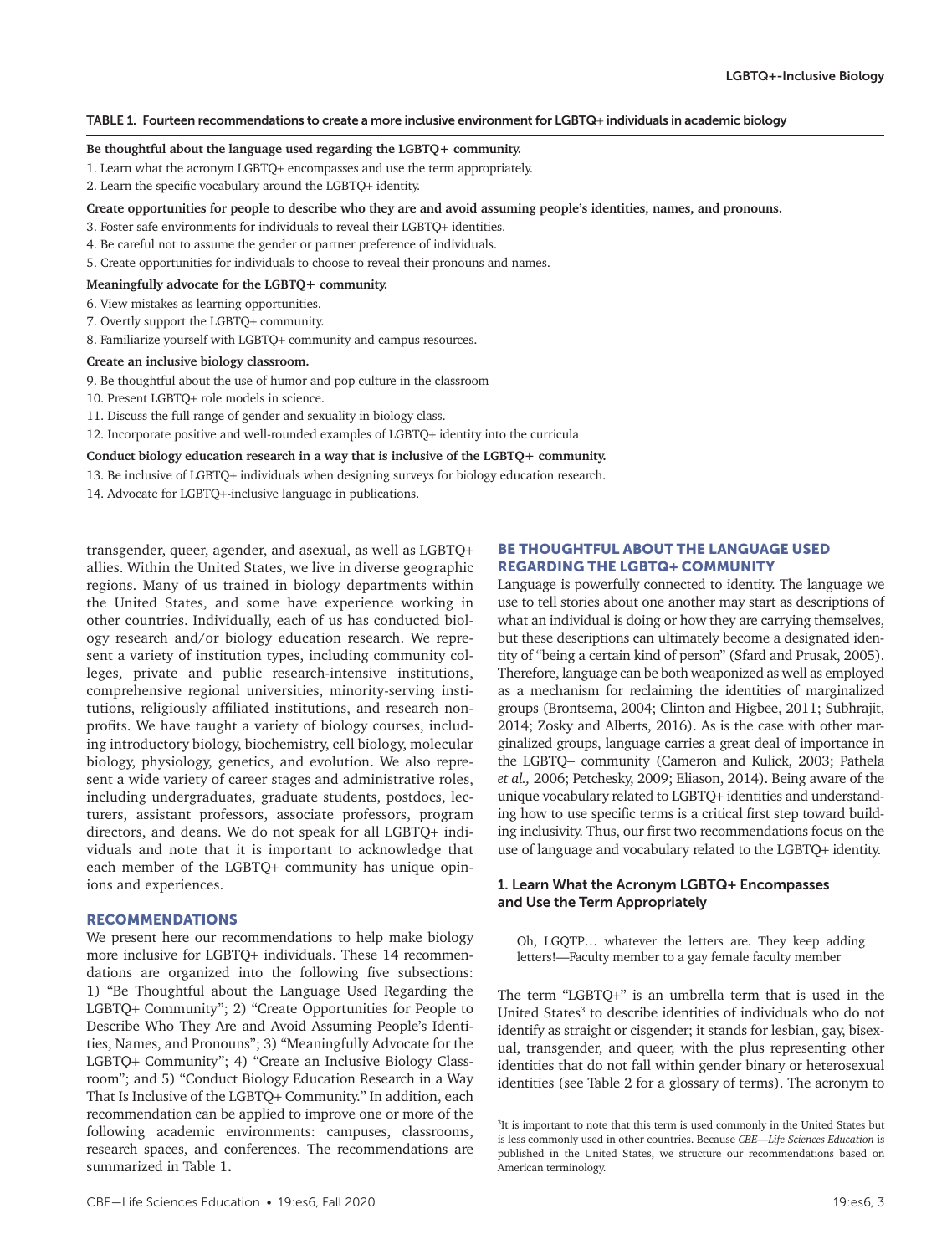#### TABLE 1. Fourteen recommendations to create a more inclusive environment for LGBTQ+ individuals in academic biology

#### **Be thoughtful about the language used regarding the LGBTQ+ community.**

- 1. Learn what the acronym LGBTQ+ encompasses and use the term appropriately.
- 2. Learn the specific vocabulary around the LGBTQ+ identity.
- **Create opportunities for people to describe who they are and avoid assuming people's identities, names, and pronouns.**
- 3. Foster safe environments for individuals to reveal their LGBTQ+ identities.
- 4. Be careful not to assume the gender or partner preference of individuals.
- 5. Create opportunities for individuals to choose to reveal their pronouns and names.

#### **Meaningfully advocate for the LGBTQ+ community.**

- 6. View mistakes as learning opportunities.
- 7. Overtly support the LGBTQ+ community.
- 8. Familiarize yourself with LGBTQ+ community and campus resources.

#### **Create an inclusive biology classroom.**

9. Be thoughtful about the use of humor and pop culture in the classroom

- 10. Present LGBTQ+ role models in science.
- 11. Discuss the full range of gender and sexuality in biology class.
- 12. Incorporate positive and well-rounded examples of LGBTQ+ identity into the curricula

#### **Conduct biology education research in a way that is inclusive of the LGBTQ+ community.**

13. Be inclusive of LGBTQ+ individuals when designing surveys for biology education research.

14. Advocate for LGBTQ+-inclusive language in publications.

transgender, queer, agender, and asexual, as well as LGBTQ+ allies. Within the United States, we live in diverse geographic regions. Many of us trained in biology departments within the United States, and some have experience working in other countries. Individually, each of us has conducted biology research and/or biology education research. We represent a variety of institution types, including community colleges, private and public research-intensive institutions, comprehensive regional universities, minority-serving institutions, religiously affiliated institutions, and research nonprofits. We have taught a variety of biology courses, including introductory biology, biochemistry, cell biology, molecular biology, physiology, genetics, and evolution. We also represent a wide variety of career stages and administrative roles, including undergraduates, graduate students, postdocs, lecturers, assistant professors, associate professors, program directors, and deans. We do not speak for all LGBTQ+ individuals and note that it is important to acknowledge that each member of the LGBTQ+ community has unique opinions and experiences.

#### RECOMMENDATIONS

We present here our recommendations to help make biology more inclusive for LGBTQ+ individuals. These 14 recommendations are organized into the following five subsections: 1) "Be Thoughtful about the Language Used Regarding the LGBTQ+ Community"; 2) "Create Opportunities for People to Describe Who They Are and Avoid Assuming People's Identities, Names, and Pronouns"; 3) "Meaningfully Advocate for the LGBTQ+ Community"; 4) "Create an Inclusive Biology Classroom"; and 5) "Conduct Biology Education Research in a Way That Is Inclusive of the LGBTQ+ Community." In addition, each recommendation can be applied to improve one or more of the following academic environments: campuses, classrooms, research spaces, and conferences. The recommendations are summarized in Table 1**.**

# BE THOUGHTFUL ABOUT THE LANGUAGE USED REGARDING THE LGBTQ+ COMMUNITY

Language is powerfully connected to identity. The language we use to tell stories about one another may start as descriptions of what an individual is doing or how they are carrying themselves, but these descriptions can ultimately become a designated identity of "being a certain kind of person" (Sfard and Prusak, 2005). Therefore, language can be both weaponized as well as employed as a mechanism for reclaiming the identities of marginalized groups (Brontsema, 2004; Clinton and Higbee, 2011; Subhrajit, 2014; Zosky and Alberts, 2016). As is the case with other marginalized groups, language carries a great deal of importance in the LGBTQ+ community (Cameron and Kulick, 2003; Pathela *et al.,* 2006; Petchesky, 2009; Eliason, 2014). Being aware of the unique vocabulary related to LGBTQ+ identities and understanding how to use specific terms is a critical first step toward building inclusivity. Thus, our first two recommendations focus on the use of language and vocabulary related to the LGBTQ+ identity.

# 1. Learn What the Acronym LGBTQ+ Encompasses and Use the Term Appropriately

Oh, LGQTP… whatever the letters are. They keep adding letters!—Faculty member to a gay female faculty member

The term "LGBTQ+" is an umbrella term that is used in the United States<sup>3</sup> to describe identities of individuals who do not identify as straight or cisgender; it stands for lesbian, gay, bisexual, transgender, and queer, with the plus representing other identities that do not fall within gender binary or heterosexual identities (see Table 2 for a glossary of terms). The acronym to

<sup>&</sup>lt;sup>3</sup>It is important to note that this term is used commonly in the United States but is less commonly used in other countries. Because *CBE—Life Sciences Education* is published in the United States, we structure our recommendations based on American terminology.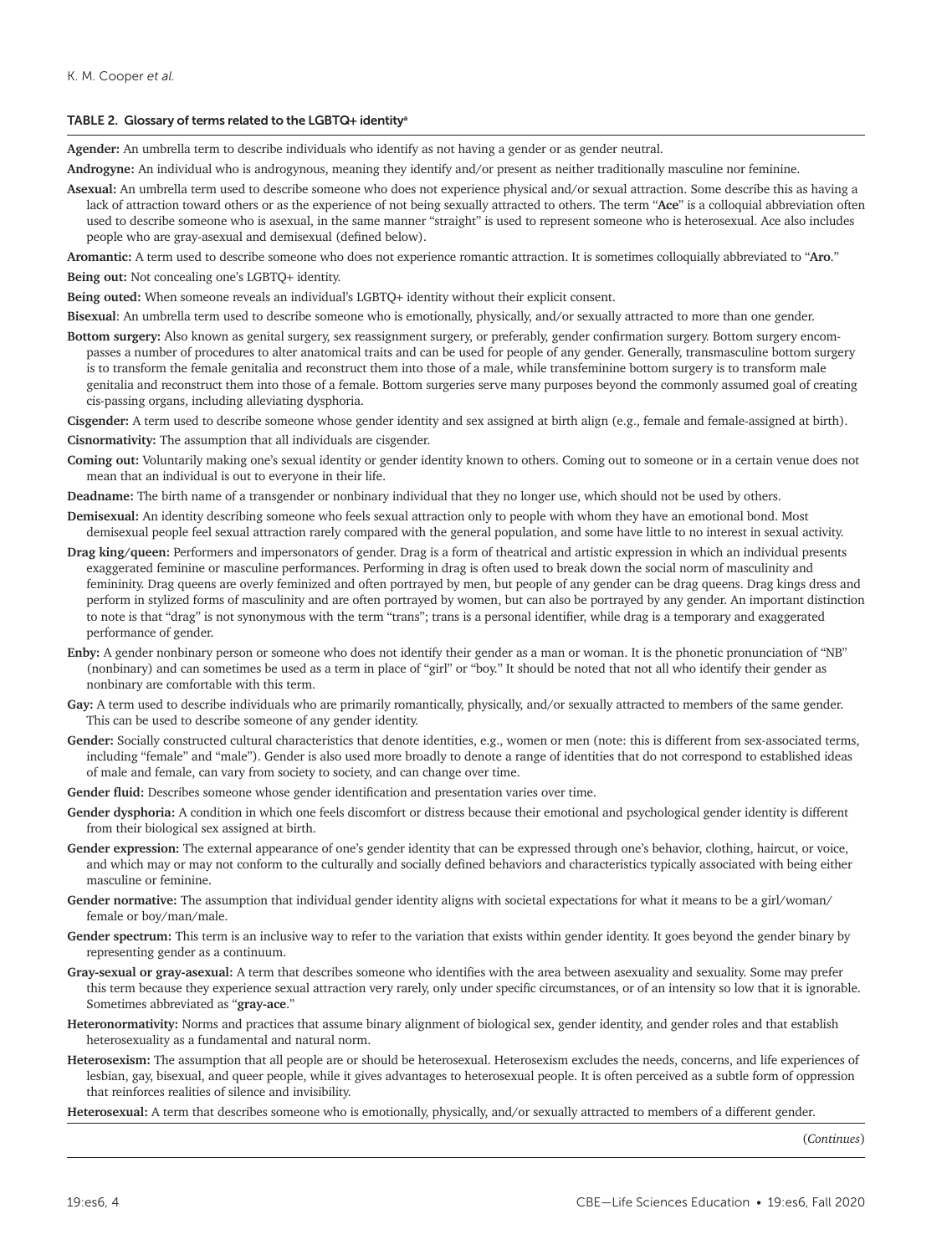#### TABLE 2. Glossary of terms related to the LGBTQ**+** identitya

**Agender:** An umbrella term to describe individuals who identify as not having a gender or as gender neutral.

**Androgyne:** An individual who is androgynous, meaning they identify and/or present as neither traditionally masculine nor feminine.

**Asexual:** An umbrella term used to describe someone who does not experience physical and/or sexual attraction. Some describe this as having a lack of attraction toward others or as the experience of not being sexually attracted to others. The term "**Ace**" is a colloquial abbreviation often used to describe someone who is asexual, in the same manner "straight" is used to represent someone who is heterosexual. Ace also includes people who are gray-asexual and demisexual (defined below).

**Aromantic:** A term used to describe someone who does not experience romantic attraction. It is sometimes colloquially abbreviated to "**Aro**."

**Being out:** Not concealing one's LGBTQ+ identity.

**Being outed:** When someone reveals an individual's LGBTQ+ identity without their explicit consent.

**Bisexual**: An umbrella term used to describe someone who is emotionally, physically, and/or sexually attracted to more than one gender.

**Bottom surgery:** Also known as genital surgery, sex reassignment surgery, or preferably, gender confirmation surgery. Bottom surgery encompasses a number of procedures to alter anatomical traits and can be used for people of any gender. Generally, transmasculine bottom surgery is to transform the female genitalia and reconstruct them into those of a male, while transfeminine bottom surgery is to transform male genitalia and reconstruct them into those of a female. Bottom surgeries serve many purposes beyond the commonly assumed goal of creating cis-passing organs, including alleviating dysphoria.

**Cisgender:** A term used to describe someone whose gender identity and sex assigned at birth align (e.g., female and female-assigned at birth). **Cisnormativity:** The assumption that all individuals are cisgender.

- **Coming out:** Voluntarily making one's sexual identity or gender identity known to others. Coming out to someone or in a certain venue does not mean that an individual is out to everyone in their life.
- **Deadname:** The birth name of a transgender or nonbinary individual that they no longer use, which should not be used by others.
- **Demisexual:** An identity describing someone who feels sexual attraction only to people with whom they have an emotional bond. Most demisexual people feel sexual attraction rarely compared with the general population, and some have little to no interest in sexual activity.
- **Drag king/queen:** Performers and impersonators of gender. Drag is a form of theatrical and artistic expression in which an individual presents exaggerated feminine or masculine performances. Performing in drag is often used to break down the social norm of masculinity and femininity. Drag queens are overly feminized and often portrayed by men, but people of any gender can be drag queens. Drag kings dress and perform in stylized forms of masculinity and are often portrayed by women, but can also be portrayed by any gender. An important distinction to note is that "drag" is not synonymous with the term "trans"; trans is a personal identifier, while drag is a temporary and exaggerated performance of gender.
- **Enby:** A gender nonbinary person or someone who does not identify their gender as a man or woman. It is the phonetic pronunciation of "NB" (nonbinary) and can sometimes be used as a term in place of "girl" or "boy." It should be noted that not all who identify their gender as nonbinary are comfortable with this term.
- Gay: A term used to describe individuals who are primarily romantically, physically, and/or sexually attracted to members of the same gender. This can be used to describe someone of any gender identity.
- Gender: Socially constructed cultural characteristics that denote identities, e.g., women or men (note: this is different from sex-associated terms, including "female" and "male"). Gender is also used more broadly to denote a range of identities that do not correspond to established ideas of male and female, can vary from society to society, and can change over time.
- **Gender fluid:** Describes someone whose gender identification and presentation varies over time.
- **Gender dysphoria:** A condition in which one feels discomfort or distress because their emotional and psychological gender identity is different from their biological sex assigned at birth.
- **Gender expression:** The external appearance of one's gender identity that can be expressed through one's behavior, clothing, haircut, or voice, and which may or may not conform to the culturally and socially defined behaviors and characteristics typically associated with being either masculine or feminine.
- **Gender normative:** The assumption that individual gender identity aligns with societal expectations for what it means to be a girl/woman/ female or boy/man/male.
- **Gender spectrum:** This term is an inclusive way to refer to the variation that exists within gender identity. It goes beyond the gender binary by representing gender as a continuum.
- **Gray-sexual or gray-asexual:** A term that describes someone who identifies with the area between asexuality and sexuality. Some may prefer this term because they experience sexual attraction very rarely, only under specific circumstances, or of an intensity so low that it is ignorable. Sometimes abbreviated as "**gray-ace**."
- **Heteronormativity:** Norms and practices that assume binary alignment of biological sex, gender identity, and gender roles and that establish heterosexuality as a fundamental and natural norm.
- **Heterosexism:** The assumption that all people are or should be heterosexual. Heterosexism excludes the needs, concerns, and life experiences of lesbian, gay, bisexual, and queer people, while it gives advantages to heterosexual people. It is often perceived as a subtle form of oppression that reinforces realities of silence and invisibility.

**Heterosexual:** A term that describes someone who is emotionally, physically, and/or sexually attracted to members of a different gender.

(*Continues*)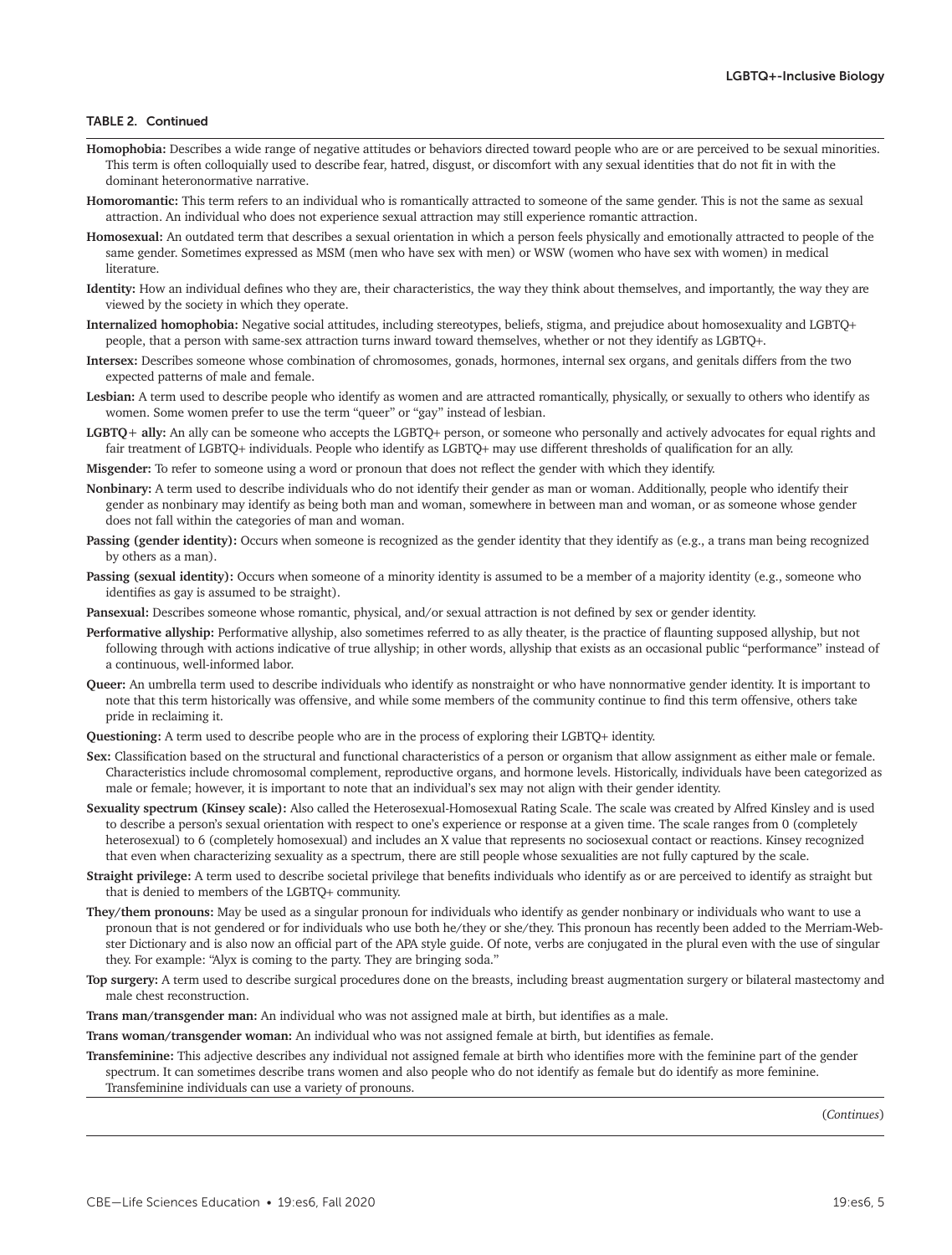### TABLE 2. Continued

- **Homophobia:** Describes a wide range of negative attitudes or behaviors directed toward people who are or are perceived to be sexual minorities. This term is often colloquially used to describe fear, hatred, disgust, or discomfort with any sexual identities that do not fit in with the dominant heteronormative narrative.
- **Homoromantic:** This term refers to an individual who is romantically attracted to someone of the same gender. This is not the same as sexual attraction. An individual who does not experience sexual attraction may still experience romantic attraction.
- **Homosexual:** An outdated term that describes a sexual orientation in which a person feels physically and emotionally attracted to people of the same gender. Sometimes expressed as MSM (men who have sex with men) or WSW (women who have sex with women) in medical literature.
- **Identity:** How an individual defines who they are, their characteristics, the way they think about themselves, and importantly, the way they are viewed by the society in which they operate.
- **Internalized homophobia:** Negative social attitudes, including stereotypes, beliefs, stigma, and prejudice about homosexuality and LGBTQ+ people, that a person with same-sex attraction turns inward toward themselves, whether or not they identify as LGBTQ+.
- **Intersex:** Describes someone whose combination of chromosomes, gonads, hormones, internal sex organs, and genitals differs from the two expected patterns of male and female.
- **Lesbian:** A term used to describe people who identify as women and are attracted romantically, physically, or sexually to others who identify as women. Some women prefer to use the term "queer" or "gay" instead of lesbian.
- **LGBTQ**+ **ally:** An ally can be someone who accepts the LGBTQ+ person, or someone who personally and actively advocates for equal rights and fair treatment of LGBTQ+ individuals. People who identify as LGBTQ+ may use different thresholds of qualification for an ally.
- **Misgender:** To refer to someone using a word or pronoun that does not reflect the gender with which they identify.
- **Nonbinary:** A term used to describe individuals who do not identify their gender as man or woman. Additionally, people who identify their gender as nonbinary may identify as being both man and woman, somewhere in between man and woman, or as someone whose gender does not fall within the categories of man and woman.
- Passing (gender identity): Occurs when someone is recognized as the gender identity that they identify as (e.g., a trans man being recognized by others as a man).
- Passing (sexual identity): Occurs when someone of a minority identity is assumed to be a member of a majority identity (e.g., someone who identifies as gay is assumed to be straight).
- **Pansexual:** Describes someone whose romantic, physical, and/or sexual attraction is not defined by sex or gender identity.
- **Performative allyship:** Performative allyship, also sometimes referred to as ally theater, is the practice of flaunting supposed allyship, but not following through with actions indicative of true allyship; in other words, allyship that exists as an occasional public "performance" instead of a continuous, well-informed labor.
- **Queer:** An umbrella term used to describe individuals who identify as nonstraight or who have nonnormative gender identity. It is important to note that this term historically was offensive, and while some members of the community continue to find this term offensive, others take pride in reclaiming it.
- **Questioning:** A term used to describe people who are in the process of exploring their LGBTQ+ identity.
- **Sex:** Classification based on the structural and functional characteristics of a person or organism that allow assignment as either male or female. Characteristics include chromosomal complement, reproductive organs, and hormone levels. Historically, individuals have been categorized as male or female; however, it is important to note that an individual's sex may not align with their gender identity.
- **Sexuality spectrum (Kinsey scale):** Also called the Heterosexual-Homosexual Rating Scale. The scale was created by Alfred Kinsley and is used to describe a person's sexual orientation with respect to one's experience or response at a given time. The scale ranges from 0 (completely heterosexual) to 6 (completely homosexual) and includes an X value that represents no sociosexual contact or reactions. Kinsey recognized that even when characterizing sexuality as a spectrum, there are still people whose sexualities are not fully captured by the scale.
- **Straight privilege:** A term used to describe societal privilege that benefits individuals who identify as or are perceived to identify as straight but that is denied to members of the LGBTQ+ community.
- **They/them pronouns:** May be used as a singular pronoun for individuals who identify as gender nonbinary or individuals who want to use a pronoun that is not gendered or for individuals who use both he/they or she/they. This pronoun has recently been added to the Merriam-Webster Dictionary and is also now an official part of the APA style guide. Of note, verbs are conjugated in the plural even with the use of singular they. For example: "Alyx is coming to the party. They are bringing soda."
- **Top surgery:** A term used to describe surgical procedures done on the breasts, including breast augmentation surgery or bilateral mastectomy and male chest reconstruction.

**Trans man/transgender man:** An individual who was not assigned male at birth, but identifies as a male.

**Trans woman/transgender woman:** An individual who was not assigned female at birth, but identifies as female.

**Transfeminine:** This adjective describes any individual not assigned female at birth who identifies more with the feminine part of the gender spectrum. It can sometimes describe trans women and also people who do not identify as female but do identify as more feminine. Transfeminine individuals can use a variety of pronouns.

(*Continues*)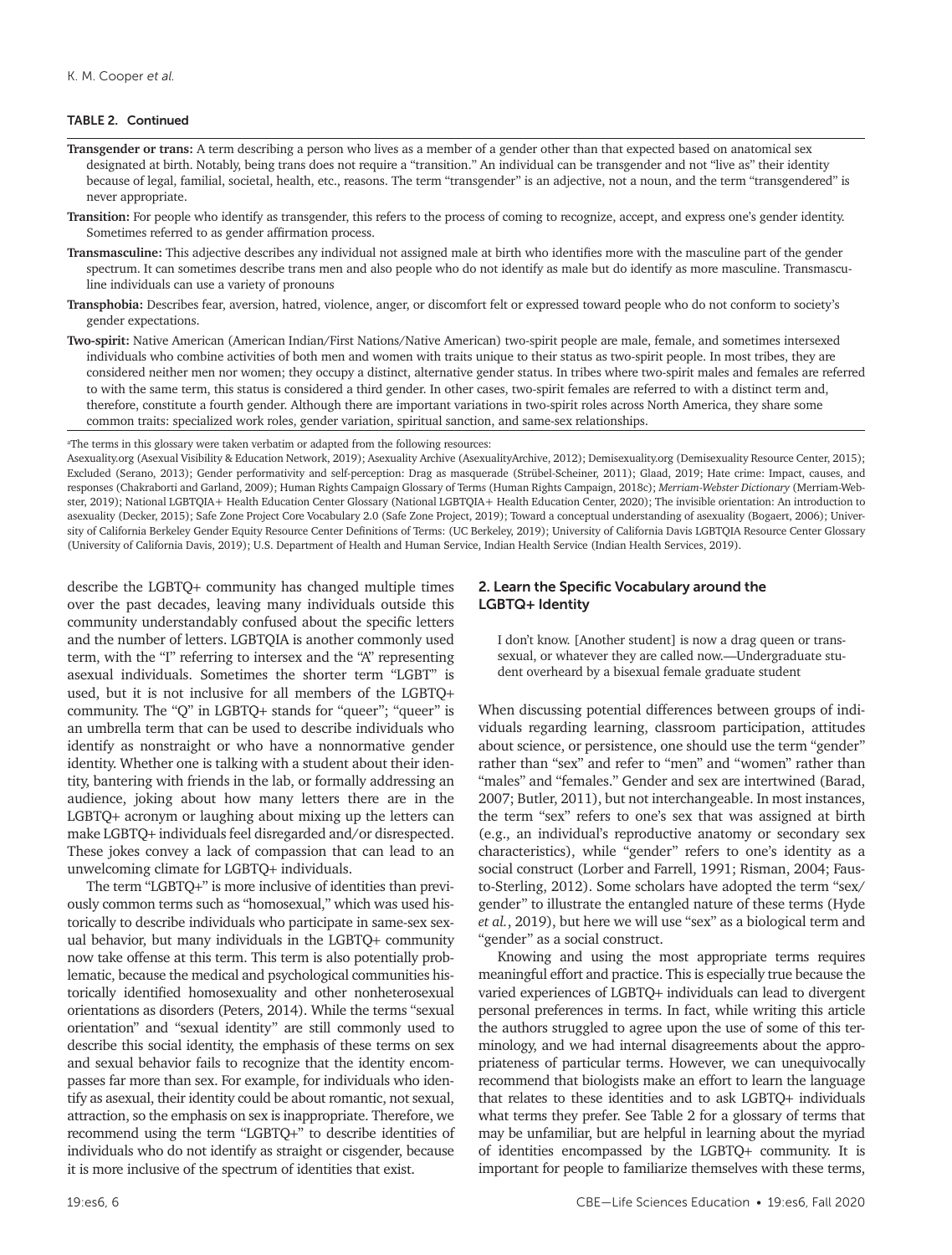#### TABLE 2. Continued

- **Transgender or trans:** A term describing a person who lives as a member of a gender other than that expected based on anatomical sex designated at birth. Notably, being trans does not require a "transition." An individual can be transgender and not "live as" their identity because of legal, familial, societal, health, etc., reasons. The term "transgender" is an adjective, not a noun, and the term "transgendered" is never appropriate.
- **Transition:** For people who identify as transgender, this refers to the process of coming to recognize, accept, and express one's gender identity. Sometimes referred to as gender affirmation process.
- **Transmasculine:** This adjective describes any individual not assigned male at birth who identifies more with the masculine part of the gender spectrum. It can sometimes describe trans men and also people who do not identify as male but do identify as more masculine. Transmasculine individuals can use a variety of pronouns
- **Transphobia:** Describes fear, aversion, hatred, violence, anger, or discomfort felt or expressed toward people who do not conform to society's gender expectations.
- **Two-spirit:** Native American (American Indian/First Nations/Native American) two-spirit people are male, female, and sometimes intersexed individuals who combine activities of both men and women with traits unique to their status as two-spirit people. In most tribes, they are considered neither men nor women; they occupy a distinct, alternative gender status. In tribes where two-spirit males and females are referred to with the same term, this status is considered a third gender. In other cases, two-spirit females are referred to with a distinct term and, therefore, constitute a fourth gender. Although there are important variations in two-spirit roles across North America, they share some common traits: specialized work roles, gender variation, spiritual sanction, and same-sex relationships.

a The terms in this glossary were taken verbatim or adapted from the following resources:

Asexuality.org (Asexual Visibility & Education Network, 2019); Asexuality Archive (AsexualityArchive, 2012); Demisexuality.org (Demisexuality Resource Center, 2015); Excluded (Serano, 2013); Gender performativity and self-perception: Drag as masquerade (Strübel-Scheiner, 2011); Glaad, 2019; Hate crime: Impact, causes, and responses (Chakraborti and Garland, 2009); Human Rights Campaign Glossary of Terms (Human Rights Campaign, 2018c); *Merriam-Webster Dictionary* (Merriam-Webster, 2019); National LGBTQIA+ Health Education Center Glossary (National LGBTQIA+ Health Education Center, 2020); The invisible orientation: An introduction to asexuality (Decker, 2015); Safe Zone Project Core Vocabulary 2.0 (Safe Zone Project, 2019); Toward a conceptual understanding of asexuality (Bogaert, 2006); University of California Berkeley Gender Equity Resource Center Definitions of Terms: (UC Berkeley, 2019); University of California Davis LGBTQIA Resource Center Glossary (University of California Davis, 2019); U.S. Department of Health and Human Service, Indian Health Service (Indian Health Services, 2019).

describe the LGBTQ+ community has changed multiple times over the past decades, leaving many individuals outside this community understandably confused about the specific letters and the number of letters. LGBTQIA is another commonly used term, with the "I" referring to intersex and the "A" representing asexual individuals. Sometimes the shorter term "LGBT" is used, but it is not inclusive for all members of the LGBTQ+ community. The "Q" in LGBTQ+ stands for "queer"; "queer" is an umbrella term that can be used to describe individuals who identify as nonstraight or who have a nonnormative gender identity. Whether one is talking with a student about their identity, bantering with friends in the lab, or formally addressing an audience, joking about how many letters there are in the LGBTQ+ acronym or laughing about mixing up the letters can make LGBTQ+ individuals feel disregarded and/or disrespected. These jokes convey a lack of compassion that can lead to an unwelcoming climate for LGBTQ+ individuals.

The term "LGBTQ+" is more inclusive of identities than previously common terms such as "homosexual," which was used historically to describe individuals who participate in same-sex sexual behavior, but many individuals in the LGBTQ+ community now take offense at this term. This term is also potentially problematic, because the medical and psychological communities historically identified homosexuality and other nonheterosexual orientations as disorders (Peters, 2014). While the terms "sexual orientation" and "sexual identity" are still commonly used to describe this social identity, the emphasis of these terms on sex and sexual behavior fails to recognize that the identity encompasses far more than sex. For example, for individuals who identify as asexual, their identity could be about romantic, not sexual, attraction, so the emphasis on sex is inappropriate. Therefore, we recommend using the term "LGBTQ+" to describe identities of individuals who do not identify as straight or cisgender, because it is more inclusive of the spectrum of identities that exist.

## 2. Learn the Specific Vocabulary around the LGBTQ+ Identity

I don't know. [Another student] is now a drag queen or transsexual, or whatever they are called now.—Undergraduate student overheard by a bisexual female graduate student

When discussing potential differences between groups of individuals regarding learning, classroom participation, attitudes about science, or persistence, one should use the term "gender" rather than "sex" and refer to "men" and "women" rather than "males" and "females." Gender and sex are intertwined (Barad, 2007; Butler, 2011), but not interchangeable. In most instances, the term "sex" refers to one's sex that was assigned at birth (e.g., an individual's reproductive anatomy or secondary sex characteristics), while "gender" refers to one's identity as a social construct (Lorber and Farrell, 1991; Risman, 2004; Fausto-Sterling, 2012). Some scholars have adopted the term "sex/ gender" to illustrate the entangled nature of these terms (Hyde *et al.*, 2019), but here we will use "sex" as a biological term and "gender" as a social construct.

Knowing and using the most appropriate terms requires meaningful effort and practice. This is especially true because the varied experiences of LGBTQ+ individuals can lead to divergent personal preferences in terms. In fact, while writing this article the authors struggled to agree upon the use of some of this terminology, and we had internal disagreements about the appropriateness of particular terms. However, we can unequivocally recommend that biologists make an effort to learn the language that relates to these identities and to ask LGBTQ+ individuals what terms they prefer. See Table 2 for a glossary of terms that may be unfamiliar, but are helpful in learning about the myriad of identities encompassed by the LGBTQ+ community. It is important for people to familiarize themselves with these terms,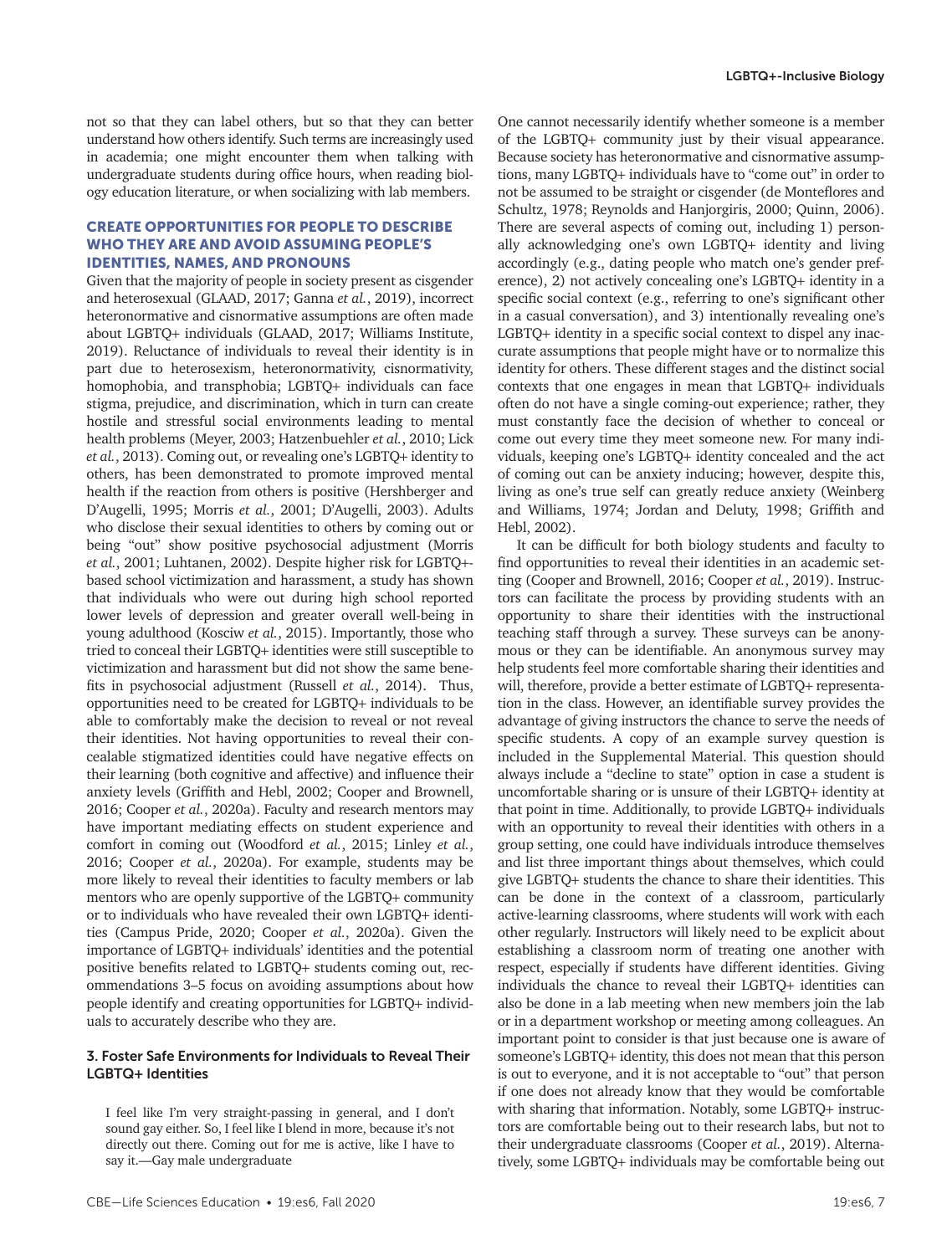not so that they can label others, but so that they can better understand how others identify. Such terms are increasingly used in academia; one might encounter them when talking with undergraduate students during office hours, when reading biology education literature, or when socializing with lab members.

# CREATE OPPORTUNITIES FOR PEOPLE TO DESCRIBE WHO THEY ARE AND AVOID ASSUMING PEOPLE'S IDENTITIES, NAMES, AND PRONOUNS

Given that the majority of people in society present as cisgender and heterosexual (GLAAD, 2017; Ganna *et al.*, 2019), incorrect heteronormative and cisnormative assumptions are often made about LGBTQ+ individuals (GLAAD, 2017; Williams Institute, 2019). Reluctance of individuals to reveal their identity is in part due to heterosexism, heteronormativity, cisnormativity, homophobia, and transphobia; LGBTQ+ individuals can face stigma, prejudice, and discrimination, which in turn can create hostile and stressful social environments leading to mental health problems (Meyer, 2003; Hatzenbuehler *et al.*, 2010; Lick *et al.*, 2013). Coming out, or revealing one's LGBTQ+ identity to others, has been demonstrated to promote improved mental health if the reaction from others is positive (Hershberger and D'Augelli, 1995; Morris *et al.*, 2001; D'Augelli, 2003). Adults who disclose their sexual identities to others by coming out or being "out" show positive psychosocial adjustment (Morris *et al.*, 2001; Luhtanen, 2002). Despite higher risk for LGBTQ+ based school victimization and harassment, a study has shown that individuals who were out during high school reported lower levels of depression and greater overall well-being in young adulthood (Kosciw *et al.*, 2015). Importantly, those who tried to conceal their LGBTQ+ identities were still susceptible to victimization and harassment but did not show the same benefits in psychosocial adjustment (Russell *et al.*, 2014). Thus, opportunities need to be created for LGBTQ+ individuals to be able to comfortably make the decision to reveal or not reveal their identities. Not having opportunities to reveal their concealable stigmatized identities could have negative effects on their learning (both cognitive and affective) and influence their anxiety levels (Griffith and Hebl, 2002; Cooper and Brownell, 2016; Cooper *et al.*, 2020a). Faculty and research mentors may have important mediating effects on student experience and comfort in coming out (Woodford *et al.*, 2015; Linley *et al.*, 2016; Cooper *et al.*, 2020a). For example, students may be more likely to reveal their identities to faculty members or lab mentors who are openly supportive of the LGBTQ+ community or to individuals who have revealed their own LGBTQ+ identities (Campus Pride, 2020; Cooper *et al.*, 2020a). Given the importance of LGBTQ+ individuals' identities and the potential positive benefits related to LGBTQ+ students coming out, recommendations 3–5 focus on avoiding assumptions about how people identify and creating opportunities for LGBTQ+ individuals to accurately describe who they are.

### 3. Foster Safe Environments for Individuals to Reveal Their LGBTQ+ Identities

I feel like I'm very straight-passing in general, and I don't sound gay either. So, I feel like I blend in more, because it's not directly out there. Coming out for me is active, like I have to say it.—Gay male undergraduate

One cannot necessarily identify whether someone is a member of the LGBTQ+ community just by their visual appearance. Because society has heteronormative and cisnormative assumptions, many LGBTQ+ individuals have to "come out" in order to not be assumed to be straight or cisgender (de Monteflores and Schultz, 1978; Reynolds and Hanjorgiris, 2000; Quinn, 2006). There are several aspects of coming out, including 1) personally acknowledging one's own LGBTQ+ identity and living accordingly (e.g., dating people who match one's gender preference), 2) not actively concealing one's LGBTQ+ identity in a specific social context (e.g., referring to one's significant other in a casual conversation), and 3) intentionally revealing one's LGBTQ+ identity in a specific social context to dispel any inaccurate assumptions that people might have or to normalize this identity for others. These different stages and the distinct social contexts that one engages in mean that LGBTQ+ individuals often do not have a single coming-out experience; rather, they must constantly face the decision of whether to conceal or come out every time they meet someone new. For many individuals, keeping one's LGBTQ+ identity concealed and the act of coming out can be anxiety inducing; however, despite this, living as one's true self can greatly reduce anxiety (Weinberg and Williams, 1974; Jordan and Deluty, 1998; Griffith and Hebl, 2002).

It can be difficult for both biology students and faculty to find opportunities to reveal their identities in an academic setting (Cooper and Brownell, 2016; Cooper *et al.*, 2019). Instructors can facilitate the process by providing students with an opportunity to share their identities with the instructional teaching staff through a survey. These surveys can be anonymous or they can be identifiable. An anonymous survey may help students feel more comfortable sharing their identities and will, therefore, provide a better estimate of LGBTQ+ representation in the class. However, an identifiable survey provides the advantage of giving instructors the chance to serve the needs of specific students. A copy of an example survey question is included in the Supplemental Material. This question should always include a "decline to state" option in case a student is uncomfortable sharing or is unsure of their LGBTQ+ identity at that point in time. Additionally, to provide LGBTQ+ individuals with an opportunity to reveal their identities with others in a group setting, one could have individuals introduce themselves and list three important things about themselves, which could give LGBTQ+ students the chance to share their identities. This can be done in the context of a classroom, particularly active-learning classrooms, where students will work with each other regularly. Instructors will likely need to be explicit about establishing a classroom norm of treating one another with respect, especially if students have different identities. Giving individuals the chance to reveal their LGBTQ+ identities can also be done in a lab meeting when new members join the lab or in a department workshop or meeting among colleagues. An important point to consider is that just because one is aware of someone's LGBTQ+ identity, this does not mean that this person is out to everyone, and it is not acceptable to "out" that person if one does not already know that they would be comfortable with sharing that information. Notably, some LGBTQ+ instructors are comfortable being out to their research labs, but not to their undergraduate classrooms (Cooper *et al.*, 2019). Alternatively, some LGBTQ+ individuals may be comfortable being out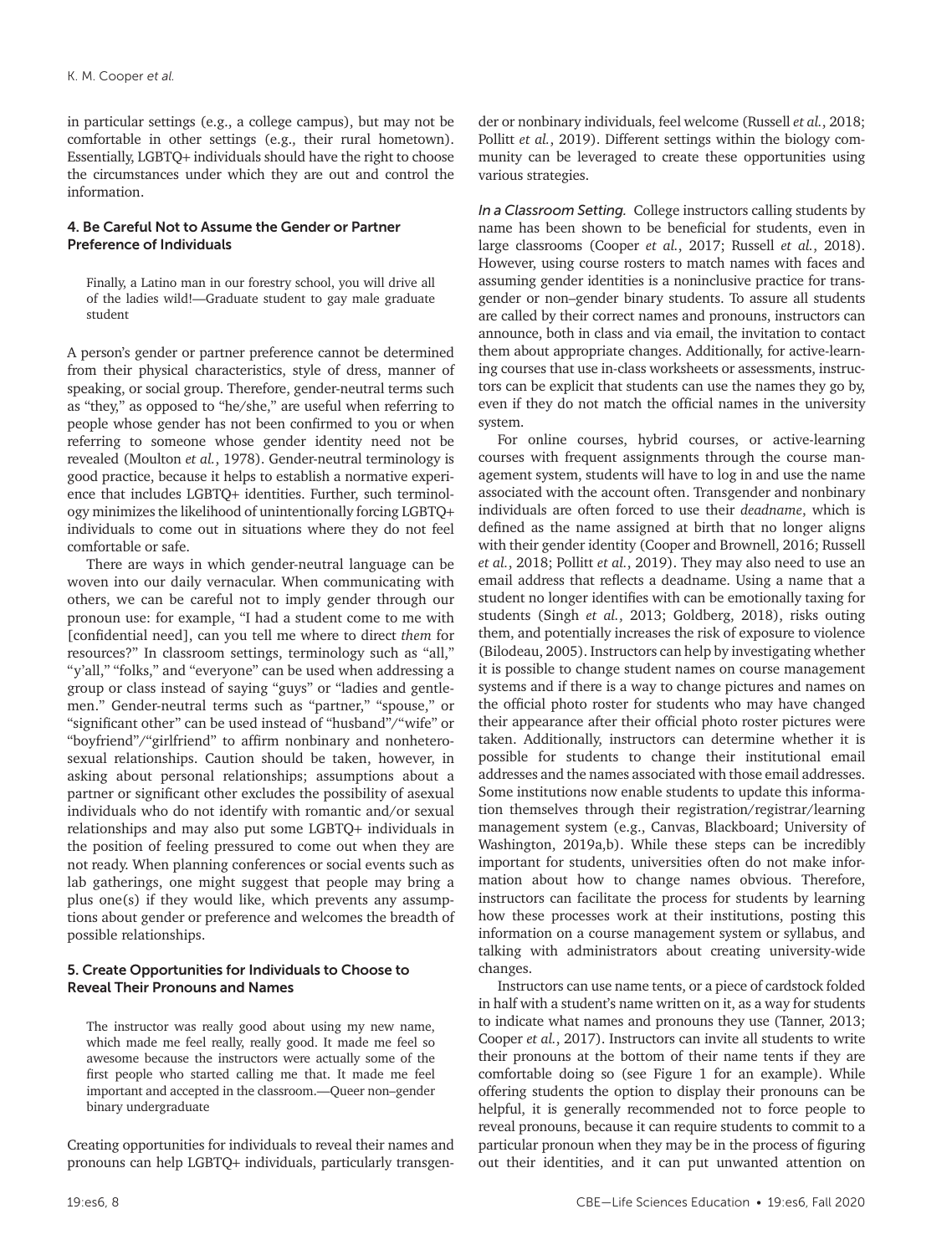in particular settings (e.g., a college campus), but may not be comfortable in other settings (e.g., their rural hometown). Essentially, LGBTQ+ individuals should have the right to choose the circumstances under which they are out and control the information.

# 4. Be Careful Not to Assume the Gender or Partner Preference of Individuals

Finally, a Latino man in our forestry school, you will drive all of the ladies wild!—Graduate student to gay male graduate student

A person's gender or partner preference cannot be determined from their physical characteristics, style of dress, manner of speaking, or social group. Therefore, gender-neutral terms such as "they," as opposed to "he/she," are useful when referring to people whose gender has not been confirmed to you or when referring to someone whose gender identity need not be revealed (Moulton *et al.*, 1978). Gender-neutral terminology is good practice, because it helps to establish a normative experience that includes LGBTQ+ identities. Further, such terminology minimizes the likelihood of unintentionally forcing LGBTQ+ individuals to come out in situations where they do not feel comfortable or safe.

There are ways in which gender-neutral language can be woven into our daily vernacular. When communicating with others, we can be careful not to imply gender through our pronoun use: for example, "I had a student come to me with [confidential need], can you tell me where to direct *them* for resources?" In classroom settings, terminology such as "all," "y'all," "folks," and "everyone" can be used when addressing a group or class instead of saying "guys" or "ladies and gentlemen." Gender-neutral terms such as "partner," "spouse," or "significant other" can be used instead of "husband"/"wife" or "boyfriend"/"girlfriend" to affirm nonbinary and nonheterosexual relationships. Caution should be taken, however, in asking about personal relationships; assumptions about a partner or significant other excludes the possibility of asexual individuals who do not identify with romantic and/or sexual relationships and may also put some LGBTQ+ individuals in the position of feeling pressured to come out when they are not ready. When planning conferences or social events such as lab gatherings, one might suggest that people may bring a plus one(s) if they would like, which prevents any assumptions about gender or preference and welcomes the breadth of possible relationships.

# 5. Create Opportunities for Individuals to Choose to Reveal Their Pronouns and Names

The instructor was really good about using my new name, which made me feel really, really good. It made me feel so awesome because the instructors were actually some of the first people who started calling me that. It made me feel important and accepted in the classroom.—Queer non–gender binary undergraduate

Creating opportunities for individuals to reveal their names and pronouns can help LGBTQ+ individuals, particularly transgender or nonbinary individuals, feel welcome (Russell *et al.*, 2018; Pollitt *et al.*, 2019). Different settings within the biology community can be leveraged to create these opportunities using various strategies.

*In a Classroom Setting.* College instructors calling students by name has been shown to be beneficial for students, even in large classrooms (Cooper *et al.*, 2017; Russell *et al.*, 2018). However, using course rosters to match names with faces and assuming gender identities is a noninclusive practice for transgender or non–gender binary students. To assure all students are called by their correct names and pronouns, instructors can announce, both in class and via email, the invitation to contact them about appropriate changes. Additionally, for active-learning courses that use in-class worksheets or assessments, instructors can be explicit that students can use the names they go by, even if they do not match the official names in the university system.

For online courses, hybrid courses, or active-learning courses with frequent assignments through the course management system, students will have to log in and use the name associated with the account often. Transgender and nonbinary individuals are often forced to use their *deadname*, which is defined as the name assigned at birth that no longer aligns with their gender identity (Cooper and Brownell, 2016; Russell *et al.*, 2018; Pollitt *et al.*, 2019). They may also need to use an email address that reflects a deadname. Using a name that a student no longer identifies with can be emotionally taxing for students (Singh *et al.*, 2013; Goldberg, 2018), risks outing them, and potentially increases the risk of exposure to violence (Bilodeau, 2005). Instructors can help by investigating whether it is possible to change student names on course management systems and if there is a way to change pictures and names on the official photo roster for students who may have changed their appearance after their official photo roster pictures were taken. Additionally, instructors can determine whether it is possible for students to change their institutional email addresses and the names associated with those email addresses. Some institutions now enable students to update this information themselves through their registration/registrar/learning management system (e.g., Canvas, Blackboard; University of Washington, 2019a,b). While these steps can be incredibly important for students, universities often do not make information about how to change names obvious. Therefore, instructors can facilitate the process for students by learning how these processes work at their institutions, posting this information on a course management system or syllabus, and talking with administrators about creating university-wide changes.

Instructors can use name tents, or a piece of cardstock folded in half with a student's name written on it, as a way for students to indicate what names and pronouns they use (Tanner, 2013; Cooper *et al.*, 2017). Instructors can invite all students to write their pronouns at the bottom of their name tents if they are comfortable doing so (see Figure 1 for an example). While offering students the option to display their pronouns can be helpful, it is generally recommended not to force people to reveal pronouns, because it can require students to commit to a particular pronoun when they may be in the process of figuring out their identities, and it can put unwanted attention on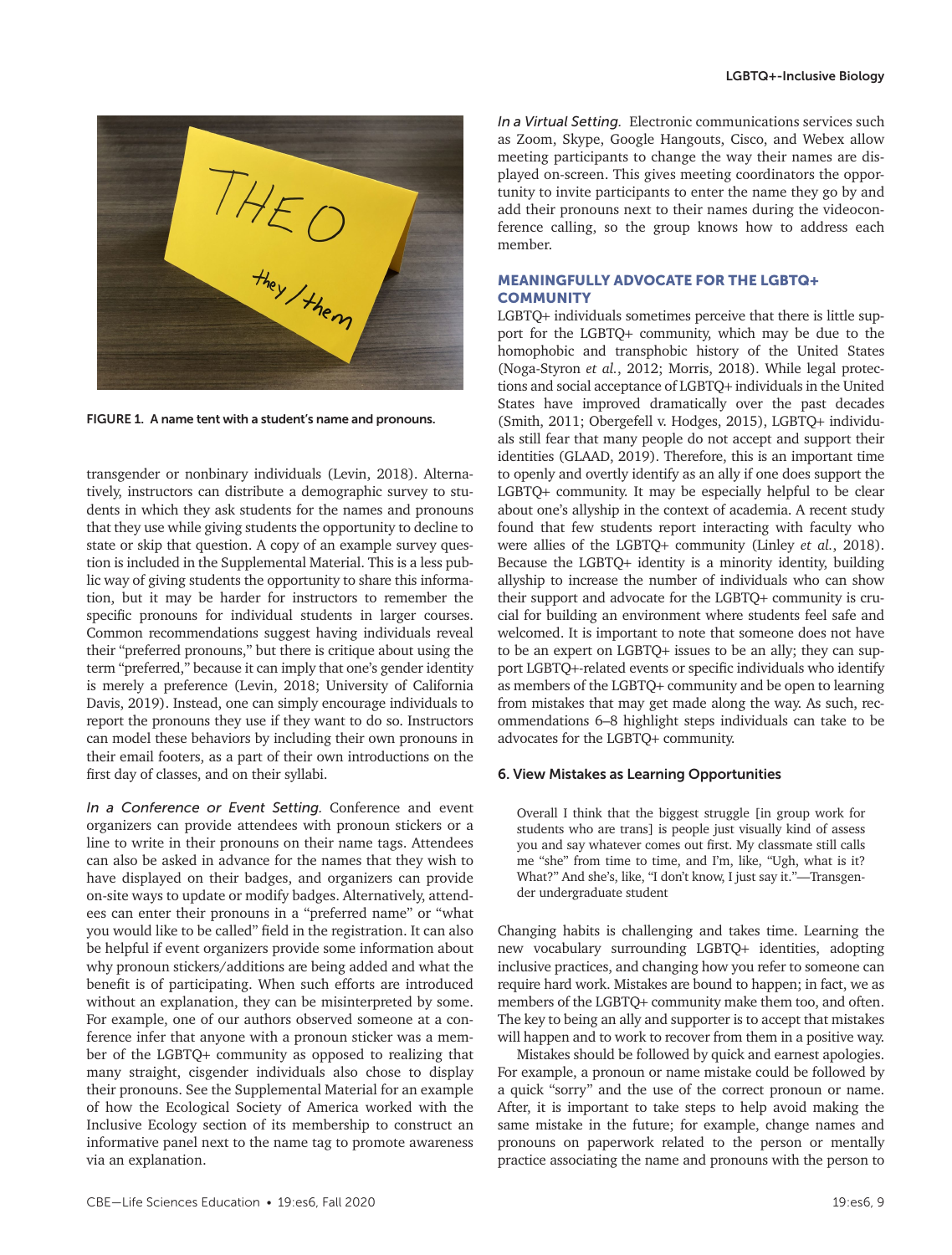

FIGURE 1. A name tent with a student's name and pronouns.

transgender or nonbinary individuals (Levin, 2018). Alternatively, instructors can distribute a demographic survey to students in which they ask students for the names and pronouns that they use while giving students the opportunity to decline to state or skip that question. A copy of an example survey question is included in the Supplemental Material. This is a less public way of giving students the opportunity to share this information, but it may be harder for instructors to remember the specific pronouns for individual students in larger courses. Common recommendations suggest having individuals reveal their "preferred pronouns," but there is critique about using the term "preferred," because it can imply that one's gender identity is merely a preference (Levin, 2018; University of California Davis, 2019). Instead, one can simply encourage individuals to report the pronouns they use if they want to do so. Instructors can model these behaviors by including their own pronouns in their email footers, as a part of their own introductions on the first day of classes, and on their syllabi.

*In a Conference or Event Setting.* Conference and event organizers can provide attendees with pronoun stickers or a line to write in their pronouns on their name tags. Attendees can also be asked in advance for the names that they wish to have displayed on their badges, and organizers can provide on-site ways to update or modify badges. Alternatively, attendees can enter their pronouns in a "preferred name" or "what you would like to be called" field in the registration. It can also be helpful if event organizers provide some information about why pronoun stickers/additions are being added and what the benefit is of participating. When such efforts are introduced without an explanation, they can be misinterpreted by some. For example, one of our authors observed someone at a conference infer that anyone with a pronoun sticker was a member of the LGBTQ+ community as opposed to realizing that many straight, cisgender individuals also chose to display their pronouns. See the Supplemental Material for an example of how the Ecological Society of America worked with the Inclusive Ecology section of its membership to construct an informative panel next to the name tag to promote awareness via an explanation.

*In a Virtual Setting.* Electronic communications services such as Zoom, Skype, Google Hangouts, Cisco, and Webex allow meeting participants to change the way their names are displayed on-screen. This gives meeting coordinators the opportunity to invite participants to enter the name they go by and add their pronouns next to their names during the videoconference calling, so the group knows how to address each member.

# MEANINGFULLY ADVOCATE FOR THE LGBTQ+ **COMMUNITY**

LGBTQ+ individuals sometimes perceive that there is little support for the LGBTQ+ community, which may be due to the homophobic and transphobic history of the United States (Noga-Styron *et al.*, 2012; Morris, 2018). While legal protections and social acceptance of LGBTQ+ individuals in the United States have improved dramatically over the past decades (Smith, 2011; Obergefell v. Hodges, 2015), LGBTQ+ individuals still fear that many people do not accept and support their identities (GLAAD, 2019). Therefore, this is an important time to openly and overtly identify as an ally if one does support the LGBTQ+ community. It may be especially helpful to be clear about one's allyship in the context of academia. A recent study found that few students report interacting with faculty who were allies of the LGBTQ+ community (Linley *et al.*, 2018). Because the LGBTQ+ identity is a minority identity, building allyship to increase the number of individuals who can show their support and advocate for the LGBTQ+ community is crucial for building an environment where students feel safe and welcomed. It is important to note that someone does not have to be an expert on LGBTQ+ issues to be an ally; they can support LGBTQ+-related events or specific individuals who identify as members of the LGBTQ+ community and be open to learning from mistakes that may get made along the way. As such, recommendations 6–8 highlight steps individuals can take to be advocates for the LGBTQ+ community.

### 6. View Mistakes as Learning Opportunities

Overall I think that the biggest struggle [in group work for students who are trans] is people just visually kind of assess you and say whatever comes out first. My classmate still calls me "she" from time to time, and I'm, like, "Ugh, what is it? What?" And she's, like, "I don't know, I just say it."—Transgender undergraduate student

Changing habits is challenging and takes time. Learning the new vocabulary surrounding LGBTQ+ identities, adopting inclusive practices, and changing how you refer to someone can require hard work. Mistakes are bound to happen; in fact, we as members of the LGBTQ+ community make them too, and often. The key to being an ally and supporter is to accept that mistakes will happen and to work to recover from them in a positive way.

Mistakes should be followed by quick and earnest apologies. For example, a pronoun or name mistake could be followed by a quick "sorry" and the use of the correct pronoun or name. After, it is important to take steps to help avoid making the same mistake in the future; for example, change names and pronouns on paperwork related to the person or mentally practice associating the name and pronouns with the person to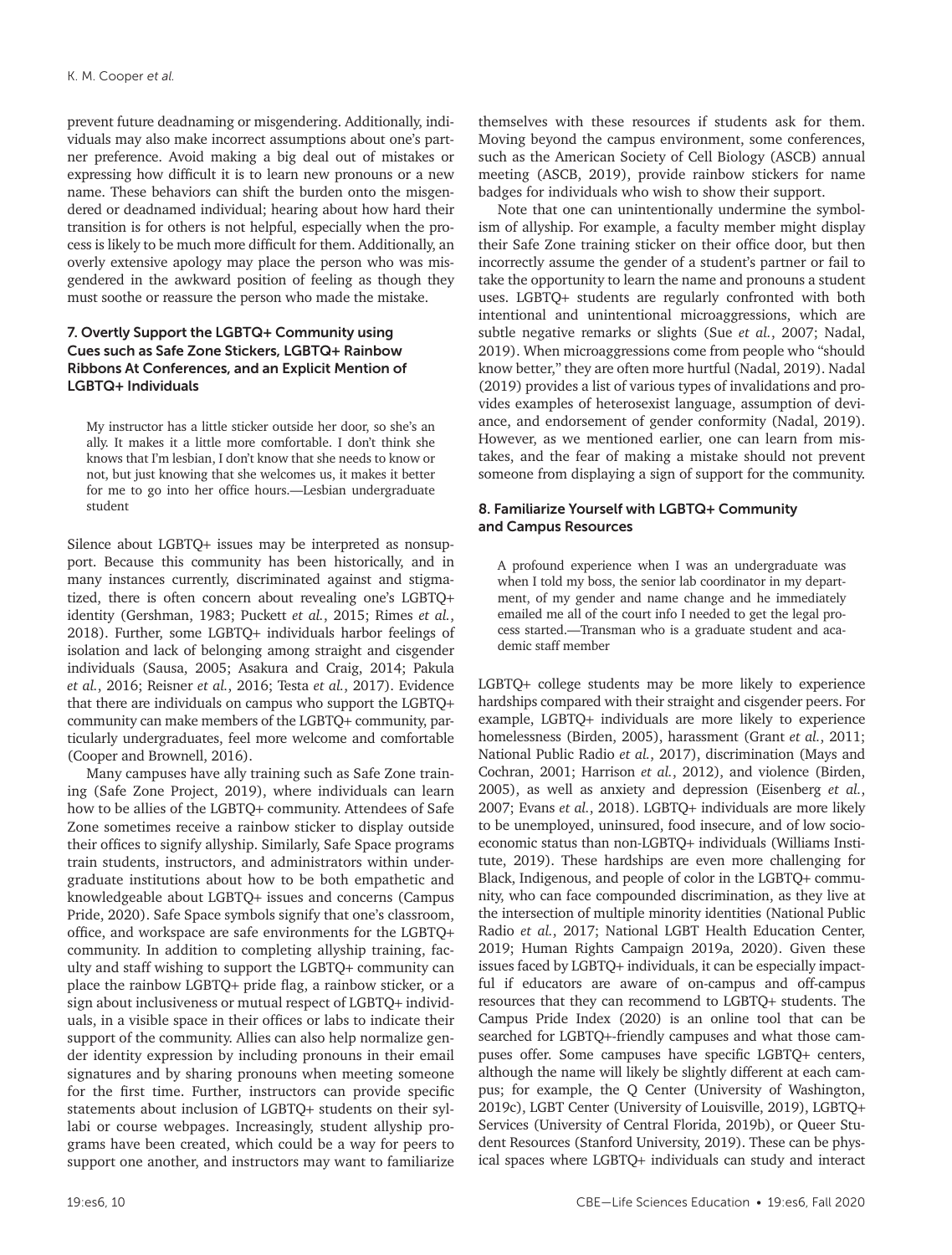prevent future deadnaming or misgendering. Additionally, individuals may also make incorrect assumptions about one's partner preference. Avoid making a big deal out of mistakes or expressing how difficult it is to learn new pronouns or a new name. These behaviors can shift the burden onto the misgendered or deadnamed individual; hearing about how hard their transition is for others is not helpful, especially when the process is likely to be much more difficult for them. Additionally, an overly extensive apology may place the person who was misgendered in the awkward position of feeling as though they must soothe or reassure the person who made the mistake.

# 7. Overtly Support the LGBTQ+ Community using Cues such as Safe Zone Stickers, LGBTQ+ Rainbow Ribbons At Conferences, and an Explicit Mention of LGBTQ+ Individuals

My instructor has a little sticker outside her door, so she's an ally. It makes it a little more comfortable. I don't think she knows that I'm lesbian, I don't know that she needs to know or not, but just knowing that she welcomes us, it makes it better for me to go into her office hours.—Lesbian undergraduate student

Silence about LGBTQ+ issues may be interpreted as nonsupport. Because this community has been historically, and in many instances currently, discriminated against and stigmatized, there is often concern about revealing one's LGBTQ+ identity (Gershman, 1983; Puckett *et al.*, 2015; Rimes *et al.*, 2018). Further, some LGBTQ+ individuals harbor feelings of isolation and lack of belonging among straight and cisgender individuals (Sausa, 2005; Asakura and Craig, 2014; Pakula *et al.*, 2016; Reisner *et al.*, 2016; Testa *et al.*, 2017). Evidence that there are individuals on campus who support the LGBTQ+ community can make members of the LGBTQ+ community, particularly undergraduates, feel more welcome and comfortable (Cooper and Brownell, 2016).

Many campuses have ally training such as Safe Zone training (Safe Zone Project, 2019), where individuals can learn how to be allies of the LGBTQ+ community. Attendees of Safe Zone sometimes receive a rainbow sticker to display outside their offices to signify allyship. Similarly, Safe Space programs train students, instructors, and administrators within undergraduate institutions about how to be both empathetic and knowledgeable about LGBTQ+ issues and concerns (Campus Pride, 2020). Safe Space symbols signify that one's classroom, office, and workspace are safe environments for the LGBTQ+ community. In addition to completing allyship training, faculty and staff wishing to support the LGBTQ+ community can place the rainbow LGBTQ+ pride flag, a rainbow sticker, or a sign about inclusiveness or mutual respect of LGBTQ+ individuals, in a visible space in their offices or labs to indicate their support of the community. Allies can also help normalize gender identity expression by including pronouns in their email signatures and by sharing pronouns when meeting someone for the first time. Further, instructors can provide specific statements about inclusion of LGBTQ+ students on their syllabi or course webpages. Increasingly, student allyship programs have been created, which could be a way for peers to support one another, and instructors may want to familiarize themselves with these resources if students ask for them. Moving beyond the campus environment, some conferences, such as the American Society of Cell Biology (ASCB) annual meeting (ASCB, 2019), provide rainbow stickers for name badges for individuals who wish to show their support.

Note that one can unintentionally undermine the symbolism of allyship. For example, a faculty member might display their Safe Zone training sticker on their office door, but then incorrectly assume the gender of a student's partner or fail to take the opportunity to learn the name and pronouns a student uses. LGBTQ+ students are regularly confronted with both intentional and unintentional microaggressions, which are subtle negative remarks or slights (Sue *et al.*, 2007; Nadal, 2019). When microaggressions come from people who "should know better," they are often more hurtful (Nadal, 2019). Nadal (2019) provides a list of various types of invalidations and provides examples of heterosexist language, assumption of deviance, and endorsement of gender conformity (Nadal, 2019). However, as we mentioned earlier, one can learn from mistakes, and the fear of making a mistake should not prevent someone from displaying a sign of support for the community.

# 8. Familiarize Yourself with LGBTQ+ Community and Campus Resources

A profound experience when I was an undergraduate was when I told my boss, the senior lab coordinator in my department, of my gender and name change and he immediately emailed me all of the court info I needed to get the legal process started.—Transman who is a graduate student and academic staff member

LGBTQ+ college students may be more likely to experience hardships compared with their straight and cisgender peers. For example, LGBTQ+ individuals are more likely to experience homelessness (Birden, 2005), harassment (Grant *et al.*, 2011; National Public Radio *et al.*, 2017), discrimination (Mays and Cochran, 2001; Harrison *et al.*, 2012), and violence (Birden, 2005), as well as anxiety and depression (Eisenberg *et al.*, 2007; Evans *et al.*, 2018). LGBTQ+ individuals are more likely to be unemployed, uninsured, food insecure, and of low socioeconomic status than non-LGBTQ+ individuals (Williams Institute, 2019). These hardships are even more challenging for Black, Indigenous, and people of color in the LGBTQ+ community, who can face compounded discrimination, as they live at the intersection of multiple minority identities (National Public Radio *et al.*, 2017; National LGBT Health Education Center, 2019; Human Rights Campaign 2019a, 2020). Given these issues faced by LGBTQ+ individuals, it can be especially impactful if educators are aware of on-campus and off-campus resources that they can recommend to LGBTQ+ students. The Campus Pride Index (2020) is an online tool that can be searched for LGBTQ+-friendly campuses and what those campuses offer. Some campuses have specific LGBTQ+ centers, although the name will likely be slightly different at each campus; for example, the Q Center (University of Washington, 2019c), LGBT Center (University of Louisville, 2019), LGBTQ+ Services (University of Central Florida, 2019b), or Queer Student Resources (Stanford University, 2019). These can be physical spaces where LGBTQ+ individuals can study and interact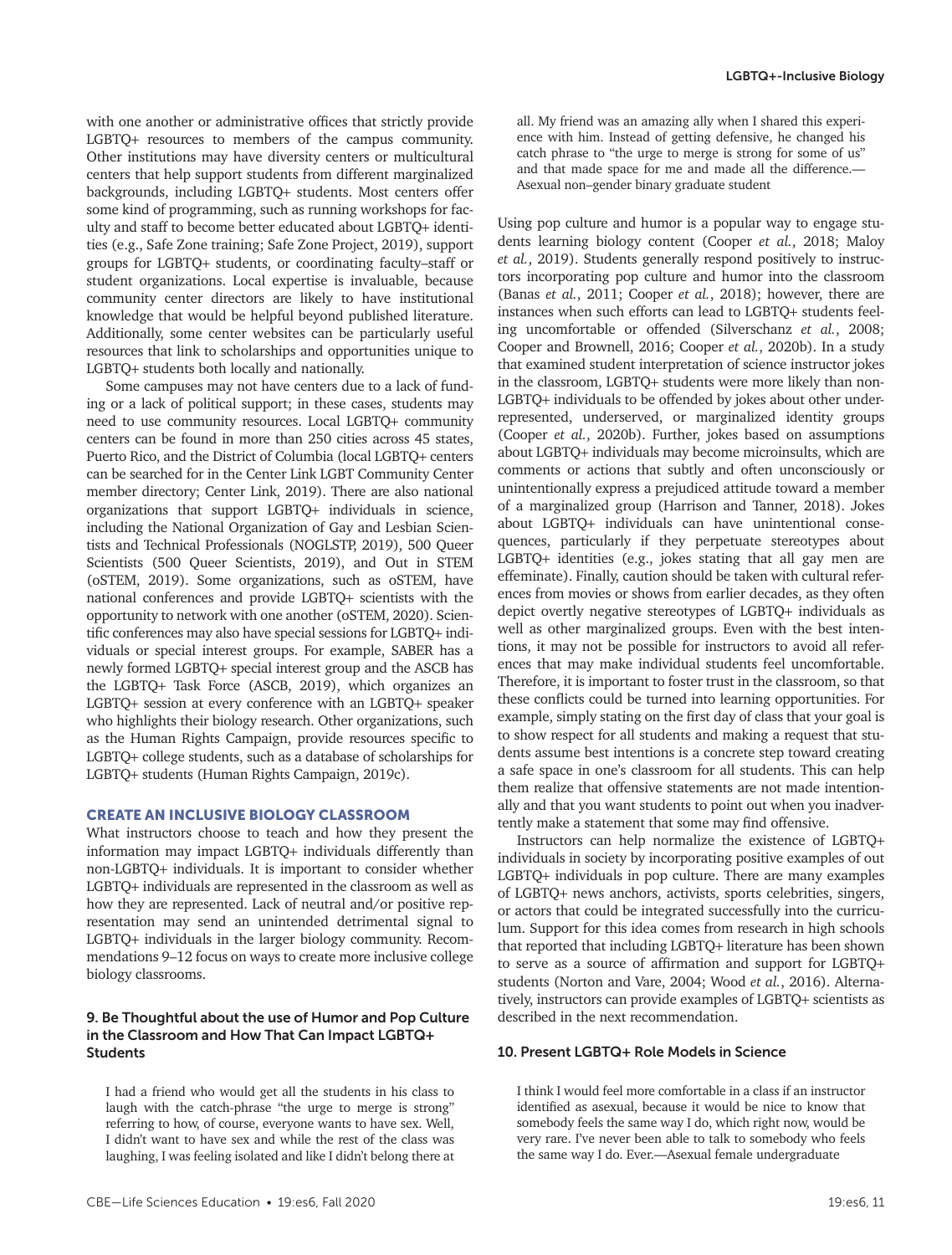with one another or administrative offices that strictly provide LGBTQ+ resources to members of the campus community. Other institutions may have diversity centers or multicultural centers that help support students from different marginalized backgrounds, including LGBTQ+ students. Most centers offer some kind of programming, such as running workshops for faculty and staff to become better educated about LGBTQ+ identities (e.g., Safe Zone training; Safe Zone Project, 2019), support groups for LGBTQ+ students, or coordinating faculty–staff or student organizations. Local expertise is invaluable, because community center directors are likely to have institutional knowledge that would be helpful beyond published literature. Additionally, some center websites can be particularly useful resources that link to scholarships and opportunities unique to LGBTQ+ students both locally and nationally.

Some campuses may not have centers due to a lack of funding or a lack of political support; in these cases, students may need to use community resources. Local LGBTQ+ community centers can be found in more than 250 cities across 45 states, Puerto Rico, and the District of Columbia (local LGBTQ+ centers can be searched for in the Center Link LGBT Community Center member directory; Center Link, 2019). There are also national organizations that support LGBTQ+ individuals in science, including the National Organization of Gay and Lesbian Scientists and Technical Professionals (NOGLSTP, 2019), 500 Queer Scientists (500 Queer Scientists, 2019), and Out in STEM (oSTEM, 2019). Some organizations, such as oSTEM, have national conferences and provide LGBTQ+ scientists with the opportunity to network with one another (oSTEM, 2020). Scientific conferences may also have special sessions for LGBTQ+ individuals or special interest groups. For example, SABER has a newly formed LGBTQ+ special interest group and the ASCB has the LGBTQ+ Task Force (ASCB, 2019), which organizes an LGBTQ+ session at every conference with an LGBTQ+ speaker who highlights their biology research. Other organizations, such as the Human Rights Campaign, provide resources specific to LGBTQ+ college students, such as a database of scholarships for LGBTQ+ students (Human Rights Campaign, 2019c).

#### CREATE AN INCLUSIVE BIOLOGY CLASSROOM

What instructors choose to teach and how they present the information may impact LGBTQ+ individuals differently than non-LGBTQ+ individuals. It is important to consider whether LGBTQ+ individuals are represented in the classroom as well as how they are represented. Lack of neutral and/or positive representation may send an unintended detrimental signal to LGBTQ+ individuals in the larger biology community. Recommendations 9–12 focus on ways to create more inclusive college biology classrooms.

### 9. Be Thoughtful about the use of Humor and Pop Culture in the Classroom and How That Can Impact LGBTQ+ Students

I had a friend who would get all the students in his class to laugh with the catch-phrase "the urge to merge is strong" referring to how, of course, everyone wants to have sex. Well, I didn't want to have sex and while the rest of the class was laughing, I was feeling isolated and like I didn't belong there at all. My friend was an amazing ally when I shared this experience with him. Instead of getting defensive, he changed his catch phrase to "the urge to merge is strong for some of us" and that made space for me and made all the difference.— Asexual non–gender binary graduate student

Using pop culture and humor is a popular way to engage students learning biology content (Cooper *et al.*, 2018; Maloy *et al.*, 2019). Students generally respond positively to instructors incorporating pop culture and humor into the classroom (Banas *et al.*, 2011; Cooper *et al.*, 2018); however, there are instances when such efforts can lead to LGBTQ+ students feeling uncomfortable or offended (Silverschanz *et al.*, 2008; Cooper and Brownell, 2016; Cooper *et al.*, 2020b). In a study that examined student interpretation of science instructor jokes in the classroom, LGBTQ+ students were more likely than non-LGBTQ+ individuals to be offended by jokes about other underrepresented, underserved, or marginalized identity groups (Cooper *et al.*, 2020b). Further, jokes based on assumptions about LGBTQ+ individuals may become microinsults, which are comments or actions that subtly and often unconsciously or unintentionally express a prejudiced attitude toward a member of a marginalized group (Harrison and Tanner, 2018). Jokes about LGBTQ+ individuals can have unintentional consequences, particularly if they perpetuate stereotypes about LGBTQ+ identities (e.g., jokes stating that all gay men are effeminate). Finally, caution should be taken with cultural references from movies or shows from earlier decades, as they often depict overtly negative stereotypes of LGBTQ+ individuals as well as other marginalized groups. Even with the best intentions, it may not be possible for instructors to avoid all references that may make individual students feel uncomfortable. Therefore, it is important to foster trust in the classroom, so that these conflicts could be turned into learning opportunities. For example, simply stating on the first day of class that your goal is to show respect for all students and making a request that students assume best intentions is a concrete step toward creating a safe space in one's classroom for all students. This can help them realize that offensive statements are not made intentionally and that you want students to point out when you inadvertently make a statement that some may find offensive.

Instructors can help normalize the existence of LGBTQ+ individuals in society by incorporating positive examples of out LGBTQ+ individuals in pop culture. There are many examples of LGBTQ+ news anchors, activists, sports celebrities, singers, or actors that could be integrated successfully into the curriculum. Support for this idea comes from research in high schools that reported that including LGBTQ+ literature has been shown to serve as a source of affirmation and support for LGBTQ+ students (Norton and Vare, 2004; Wood *et al.*, 2016). Alternatively, instructors can provide examples of LGBTQ+ scientists as described in the next recommendation.

### 10. Present LGBTQ+ Role Models in Science

I think I would feel more comfortable in a class if an instructor identified as asexual, because it would be nice to know that somebody feels the same way I do, which right now, would be very rare. I've never been able to talk to somebody who feels the same way I do. Ever.—Asexual female undergraduate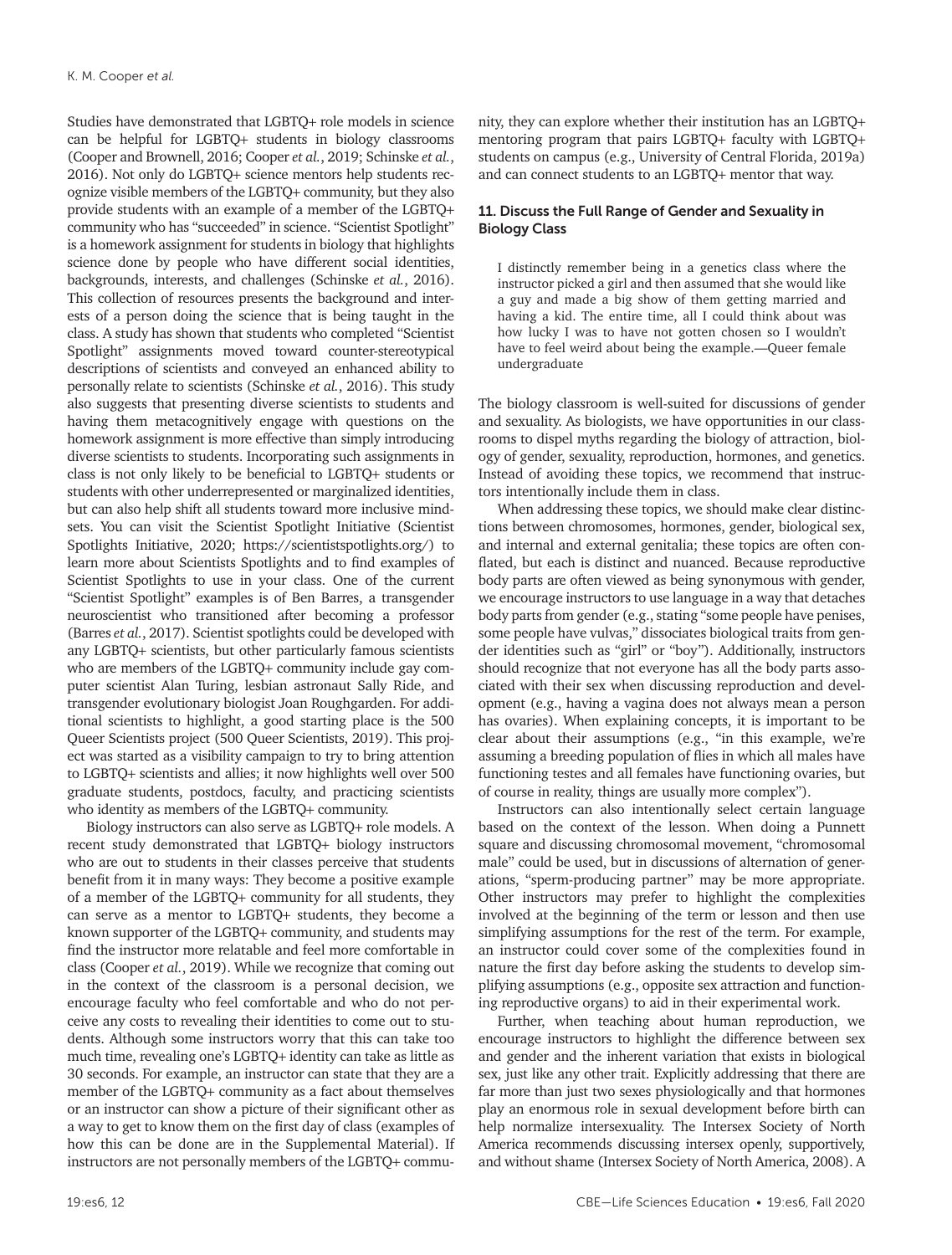Studies have demonstrated that LGBTQ+ role models in science can be helpful for LGBTQ+ students in biology classrooms (Cooper and Brownell, 2016; Cooper *et al.*, 2019; Schinske *et al.*, 2016). Not only do LGBTQ+ science mentors help students recognize visible members of the LGBTQ+ community, but they also provide students with an example of a member of the LGBTQ+ community who has "succeeded" in science. "Scientist Spotlight" is a homework assignment for students in biology that highlights science done by people who have different social identities, backgrounds, interests, and challenges (Schinske *et al.*, 2016). This collection of resources presents the background and interests of a person doing the science that is being taught in the class. A study has shown that students who completed "Scientist Spotlight" assignments moved toward counter-stereotypical descriptions of scientists and conveyed an enhanced ability to personally relate to scientists (Schinske *et al.*, 2016). This study also suggests that presenting diverse scientists to students and having them metacognitively engage with questions on the homework assignment is more effective than simply introducing diverse scientists to students. Incorporating such assignments in class is not only likely to be beneficial to LGBTQ+ students or students with other underrepresented or marginalized identities, but can also help shift all students toward more inclusive mindsets. You can visit the Scientist Spotlight Initiative (Scientist Spotlights Initiative, 2020; <https://scientistspotlights.org/>) to learn more about Scientists Spotlights and to find examples of Scientist Spotlights to use in your class. One of the current "Scientist Spotlight" examples is of Ben Barres, a transgender neuroscientist who transitioned after becoming a professor (Barres *et al.*, 2017). Scientist spotlights could be developed with any LGBTQ+ scientists, but other particularly famous scientists who are members of the LGBTQ+ community include gay computer scientist Alan Turing, lesbian astronaut Sally Ride, and transgender evolutionary biologist Joan Roughgarden. For additional scientists to highlight, a good starting place is the 500 Queer Scientists project (500 Queer Scientists, 2019). This project was started as a visibility campaign to try to bring attention to LGBTQ+ scientists and allies; it now highlights well over 500 graduate students, postdocs, faculty, and practicing scientists who identity as members of the LGBTQ+ community.

Biology instructors can also serve as LGBTQ+ role models. A recent study demonstrated that LGBTQ+ biology instructors who are out to students in their classes perceive that students benefit from it in many ways: They become a positive example of a member of the LGBTQ+ community for all students, they can serve as a mentor to LGBTQ+ students, they become a known supporter of the LGBTQ+ community, and students may find the instructor more relatable and feel more comfortable in class (Cooper *et al.*, 2019). While we recognize that coming out in the context of the classroom is a personal decision, we encourage faculty who feel comfortable and who do not perceive any costs to revealing their identities to come out to students. Although some instructors worry that this can take too much time, revealing one's LGBTQ+ identity can take as little as 30 seconds. For example, an instructor can state that they are a member of the LGBTQ+ community as a fact about themselves or an instructor can show a picture of their significant other as a way to get to know them on the first day of class (examples of how this can be done are in the Supplemental Material). If instructors are not personally members of the LGBTQ+ community, they can explore whether their institution has an LGBTQ+ mentoring program that pairs LGBTQ+ faculty with LGBTQ+ students on campus (e.g., University of Central Florida, 2019a) and can connect students to an LGBTQ+ mentor that way.

# 11. Discuss the Full Range of Gender and Sexuality in Biology Class

I distinctly remember being in a genetics class where the instructor picked a girl and then assumed that she would like a guy and made a big show of them getting married and having a kid. The entire time, all I could think about was how lucky I was to have not gotten chosen so I wouldn't have to feel weird about being the example.—Queer female undergraduate

The biology classroom is well-suited for discussions of gender and sexuality. As biologists, we have opportunities in our classrooms to dispel myths regarding the biology of attraction, biology of gender, sexuality, reproduction, hormones, and genetics. Instead of avoiding these topics, we recommend that instructors intentionally include them in class.

When addressing these topics, we should make clear distinctions between chromosomes, hormones, gender, biological sex, and internal and external genitalia; these topics are often conflated, but each is distinct and nuanced. Because reproductive body parts are often viewed as being synonymous with gender, we encourage instructors to use language in a way that detaches body parts from gender (e.g., stating "some people have penises, some people have vulvas," dissociates biological traits from gender identities such as "girl" or "boy"). Additionally, instructors should recognize that not everyone has all the body parts associated with their sex when discussing reproduction and development (e.g., having a vagina does not always mean a person has ovaries). When explaining concepts, it is important to be clear about their assumptions (e.g., "in this example, we're assuming a breeding population of flies in which all males have functioning testes and all females have functioning ovaries, but of course in reality, things are usually more complex").

Instructors can also intentionally select certain language based on the context of the lesson. When doing a Punnett square and discussing chromosomal movement, "chromosomal male" could be used, but in discussions of alternation of generations, "sperm-producing partner" may be more appropriate. Other instructors may prefer to highlight the complexities involved at the beginning of the term or lesson and then use simplifying assumptions for the rest of the term. For example, an instructor could cover some of the complexities found in nature the first day before asking the students to develop simplifying assumptions (e.g., opposite sex attraction and functioning reproductive organs) to aid in their experimental work.

Further, when teaching about human reproduction, we encourage instructors to highlight the difference between sex and gender and the inherent variation that exists in biological sex, just like any other trait. Explicitly addressing that there are far more than just two sexes physiologically and that hormones play an enormous role in sexual development before birth can help normalize intersexuality. The Intersex Society of North America recommends discussing intersex openly, supportively, and without shame (Intersex Society of North America, 2008). A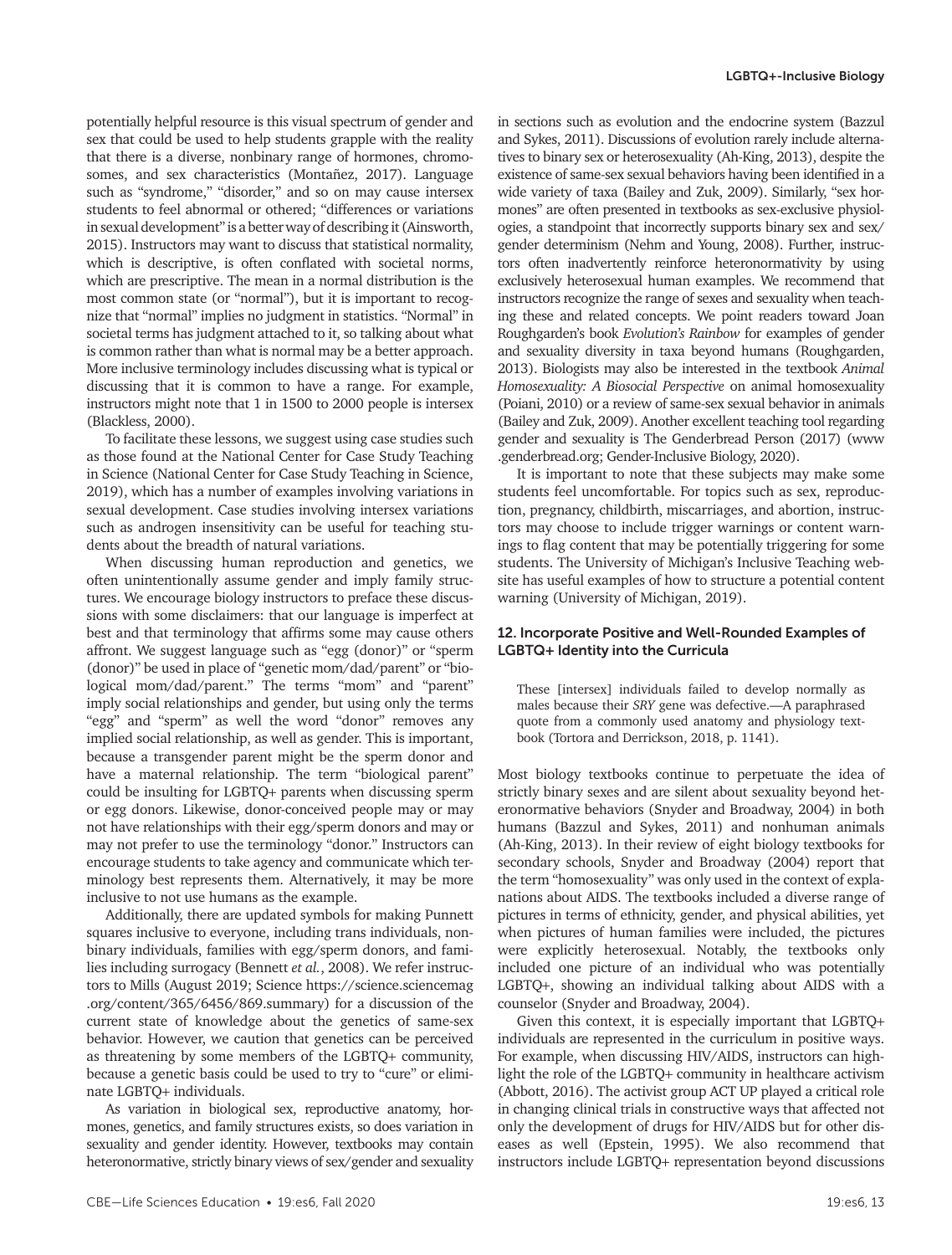potentially helpful resource is this visual spectrum of gender and sex that could be used to help students grapple with the reality that there is a diverse, nonbinary range of hormones, chromosomes, and sex characteristics (Montañez, 2017). Language such as "syndrome," "disorder," and so on may cause intersex students to feel abnormal or othered; "differences or variations in sexual development" is a better way of describing it (Ainsworth, 2015). Instructors may want to discuss that statistical normality, which is descriptive, is often conflated with societal norms, which are prescriptive. The mean in a normal distribution is the most common state (or "normal"), but it is important to recognize that "normal" implies no judgment in statistics. "Normal" in societal terms has judgment attached to it, so talking about what is common rather than what is normal may be a better approach. More inclusive terminology includes discussing what is typical or discussing that it is common to have a range. For example, instructors might note that 1 in 1500 to 2000 people is intersex (Blackless, 2000).

To facilitate these lessons, we suggest using case studies such as those found at the National Center for Case Study Teaching in Science (National Center for Case Study Teaching in Science, 2019), which has a number of examples involving variations in sexual development. Case studies involving intersex variations such as androgen insensitivity can be useful for teaching students about the breadth of natural variations.

When discussing human reproduction and genetics, we often unintentionally assume gender and imply family structures. We encourage biology instructors to preface these discussions with some disclaimers: that our language is imperfect at best and that terminology that affirms some may cause others affront. We suggest language such as "egg (donor)" or "sperm (donor)" be used in place of "genetic mom/dad/parent" or "biological mom/dad/parent." The terms "mom" and "parent" imply social relationships and gender, but using only the terms "egg" and "sperm" as well the word "donor" removes any implied social relationship, as well as gender. This is important, because a transgender parent might be the sperm donor and have a maternal relationship. The term "biological parent" could be insulting for LGBTQ+ parents when discussing sperm or egg donors. Likewise, donor-conceived people may or may not have relationships with their egg/sperm donors and may or may not prefer to use the terminology "donor." Instructors can encourage students to take agency and communicate which terminology best represents them. Alternatively, it may be more inclusive to not use humans as the example.

Additionally, there are updated symbols for making Punnett squares inclusive to everyone, including trans individuals, nonbinary individuals, families with egg/sperm donors, and families including surrogacy (Bennett *et al.*, 2008). We refer instructors to Mills (August 2019; Science https://science.sciencemag .org/content/365/6456/869.summary) for a discussion of the current state of knowledge about the genetics of same-sex behavior. However, we caution that genetics can be perceived as threatening by some members of the LGBTQ+ community, because a genetic basis could be used to try to "cure" or eliminate LGBTQ+ individuals.

As variation in biological sex, reproductive anatomy, hormones, genetics, and family structures exists, so does variation in sexuality and gender identity. However, textbooks may contain heteronormative, strictly binary views of sex/gender and sexuality in sections such as evolution and the endocrine system (Bazzul and Sykes, 2011). Discussions of evolution rarely include alternatives to binary sex or heterosexuality (Ah-King, 2013), despite the existence of same-sex sexual behaviors having been identified in a wide variety of taxa (Bailey and Zuk, 2009). Similarly, "sex hormones" are often presented in textbooks as sex-exclusive physiologies, a standpoint that incorrectly supports binary sex and sex/ gender determinism (Nehm and Young, 2008). Further, instructors often inadvertently reinforce heteronormativity by using exclusively heterosexual human examples. We recommend that instructors recognize the range of sexes and sexuality when teaching these and related concepts. We point readers toward Joan Roughgarden's book *Evolution's Rainbow* for examples of gender and sexuality diversity in taxa beyond humans (Roughgarden, 2013). Biologists may also be interested in the textbook *Animal Homosexuality: A Biosocial Perspective* on animal homosexuality (Poiani, 2010) or a review of same-sex sexual behavior in animals (Bailey and Zuk, 2009). Another excellent teaching tool regarding gender and sexuality is The Genderbread Person (2017) (www .genderbread.org; Gender-Inclusive Biology, 2020).

It is important to note that these subjects may make some students feel uncomfortable. For topics such as sex, reproduction, pregnancy, childbirth, miscarriages, and abortion, instructors may choose to include trigger warnings or content warnings to flag content that may be potentially triggering for some students. The University of Michigan's Inclusive Teaching website has useful examples of how to structure a potential content warning (University of Michigan, 2019).

### 12. Incorporate Positive and Well-Rounded Examples of LGBTQ+ Identity into the Curricula

These [intersex] individuals failed to develop normally as males because their *SRY* gene was defective.—A paraphrased quote from a commonly used anatomy and physiology textbook (Tortora and Derrickson, 2018, p. 1141).

Most biology textbooks continue to perpetuate the idea of strictly binary sexes and are silent about sexuality beyond heteronormative behaviors (Snyder and Broadway, 2004) in both humans (Bazzul and Sykes, 2011) and nonhuman animals (Ah-King, 2013). In their review of eight biology textbooks for secondary schools, Snyder and Broadway (2004) report that the term "homosexuality" was only used in the context of explanations about AIDS. The textbooks included a diverse range of pictures in terms of ethnicity, gender, and physical abilities, yet when pictures of human families were included, the pictures were explicitly heterosexual. Notably, the textbooks only included one picture of an individual who was potentially LGBTQ+, showing an individual talking about AIDS with a counselor (Snyder and Broadway, 2004).

Given this context, it is especially important that LGBTQ+ individuals are represented in the curriculum in positive ways. For example, when discussing HIV/AIDS, instructors can highlight the role of the LGBTQ+ community in healthcare activism (Abbott, 2016). The activist group ACT UP played a critical role in changing clinical trials in constructive ways that affected not only the development of drugs for HIV/AIDS but for other diseases as well (Epstein, 1995). We also recommend that instructors include LGBTQ+ representation beyond discussions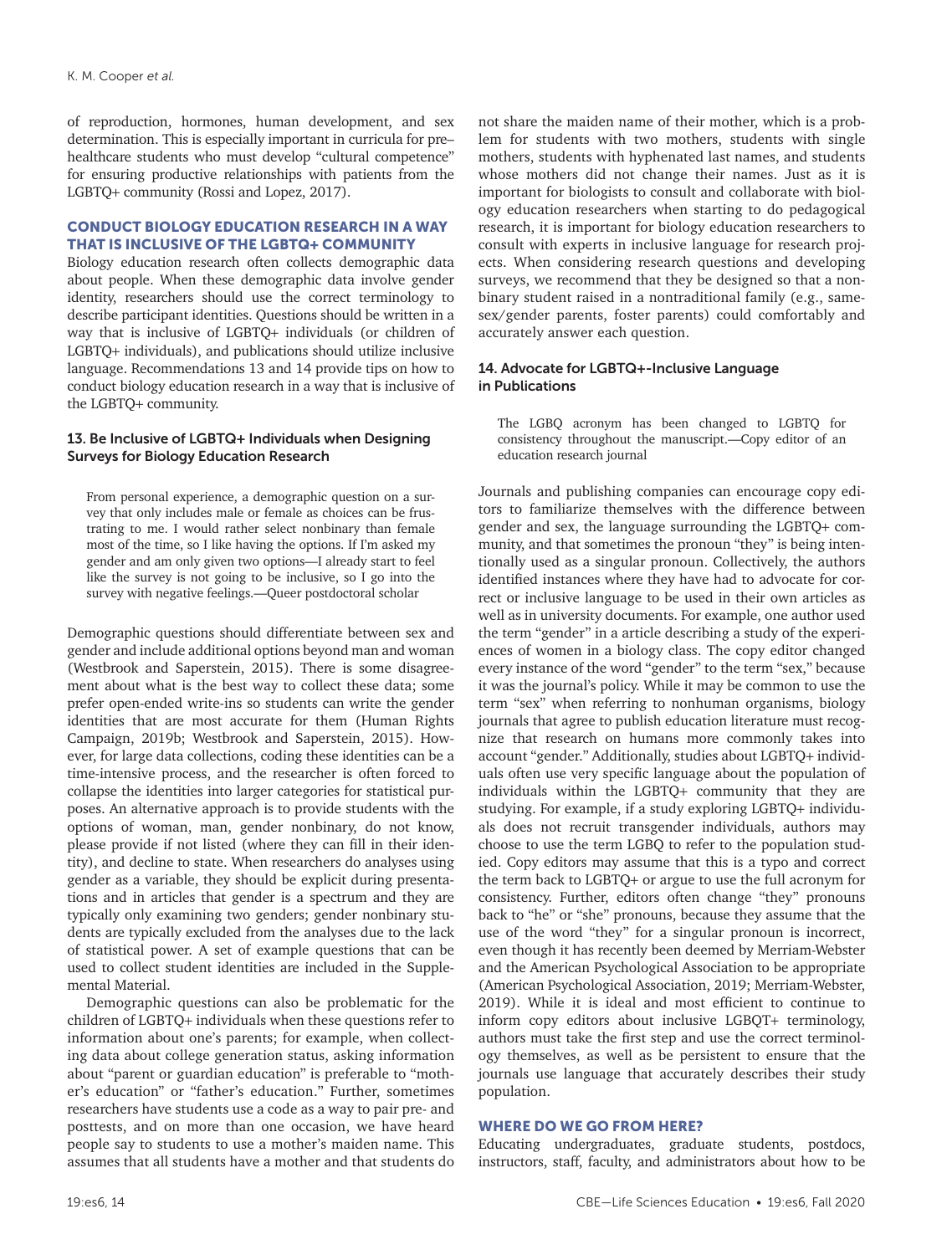of reproduction, hormones, human development, and sex determination. This is especially important in curricula for pre– healthcare students who must develop "cultural competence" for ensuring productive relationships with patients from the LGBTQ+ community (Rossi and Lopez, 2017).

# CONDUCT BIOLOGY EDUCATION RESEARCH IN A WAY THAT IS INCLUSIVE OF THE LGBTQ+ COMMUNITY

Biology education research often collects demographic data about people. When these demographic data involve gender identity, researchers should use the correct terminology to describe participant identities. Questions should be written in a way that is inclusive of LGBTQ+ individuals (or children of LGBTQ+ individuals), and publications should utilize inclusive language. Recommendations 13 and 14 provide tips on how to conduct biology education research in a way that is inclusive of the LGBTQ+ community.

# 13. Be Inclusive of LGBTQ+ Individuals when Designing Surveys for Biology Education Research

From personal experience, a demographic question on a survey that only includes male or female as choices can be frustrating to me. I would rather select nonbinary than female most of the time, so I like having the options. If I'm asked my gender and am only given two options—I already start to feel like the survey is not going to be inclusive, so I go into the survey with negative feelings.—Queer postdoctoral scholar

Demographic questions should differentiate between sex and gender and include additional options beyond man and woman (Westbrook and Saperstein, 2015). There is some disagreement about what is the best way to collect these data; some prefer open-ended write-ins so students can write the gender identities that are most accurate for them (Human Rights Campaign, 2019b; Westbrook and Saperstein, 2015). However, for large data collections, coding these identities can be a time-intensive process, and the researcher is often forced to collapse the identities into larger categories for statistical purposes. An alternative approach is to provide students with the options of woman, man, gender nonbinary, do not know, please provide if not listed (where they can fill in their identity), and decline to state. When researchers do analyses using gender as a variable, they should be explicit during presentations and in articles that gender is a spectrum and they are typically only examining two genders; gender nonbinary students are typically excluded from the analyses due to the lack of statistical power. A set of example questions that can be used to collect student identities are included in the Supplemental Material.

Demographic questions can also be problematic for the children of LGBTQ+ individuals when these questions refer to information about one's parents; for example, when collecting data about college generation status, asking information about "parent or guardian education" is preferable to "mother's education" or "father's education." Further, sometimes researchers have students use a code as a way to pair pre- and posttests, and on more than one occasion, we have heard people say to students to use a mother's maiden name. This assumes that all students have a mother and that students do not share the maiden name of their mother, which is a problem for students with two mothers, students with single mothers, students with hyphenated last names, and students whose mothers did not change their names. Just as it is important for biologists to consult and collaborate with biology education researchers when starting to do pedagogical research, it is important for biology education researchers to consult with experts in inclusive language for research projects. When considering research questions and developing surveys, we recommend that they be designed so that a nonbinary student raised in a nontraditional family (e.g., samesex/gender parents, foster parents) could comfortably and accurately answer each question.

# 14. Advocate for LGBTQ+-Inclusive Language in Publications

The LGBQ acronym has been changed to LGBTQ for consistency throughout the manuscript.—Copy editor of an education research journal

Journals and publishing companies can encourage copy editors to familiarize themselves with the difference between gender and sex, the language surrounding the LGBTQ+ community, and that sometimes the pronoun "they" is being intentionally used as a singular pronoun. Collectively, the authors identified instances where they have had to advocate for correct or inclusive language to be used in their own articles as well as in university documents. For example, one author used the term "gender" in a article describing a study of the experiences of women in a biology class. The copy editor changed every instance of the word "gender" to the term "sex," because it was the journal's policy. While it may be common to use the term "sex" when referring to nonhuman organisms, biology journals that agree to publish education literature must recognize that research on humans more commonly takes into account "gender." Additionally, studies about LGBTQ+ individuals often use very specific language about the population of individuals within the LGBTQ+ community that they are studying. For example, if a study exploring LGBTQ+ individuals does not recruit transgender individuals, authors may choose to use the term LGBQ to refer to the population studied. Copy editors may assume that this is a typo and correct the term back to LGBTQ+ or argue to use the full acronym for consistency. Further, editors often change "they" pronouns back to "he" or "she" pronouns, because they assume that the use of the word "they" for a singular pronoun is incorrect, even though it has recently been deemed by Merriam-Webster and the American Psychological Association to be appropriate (American Psychological Association, 2019; Merriam-Webster, 2019). While it is ideal and most efficient to continue to inform copy editors about inclusive LGBQT+ terminology, authors must take the first step and use the correct terminology themselves, as well as be persistent to ensure that the journals use language that accurately describes their study population.

# WHERE DO WE GO FROM HERE?

Educating undergraduates, graduate students, postdocs, instructors, staff, faculty, and administrators about how to be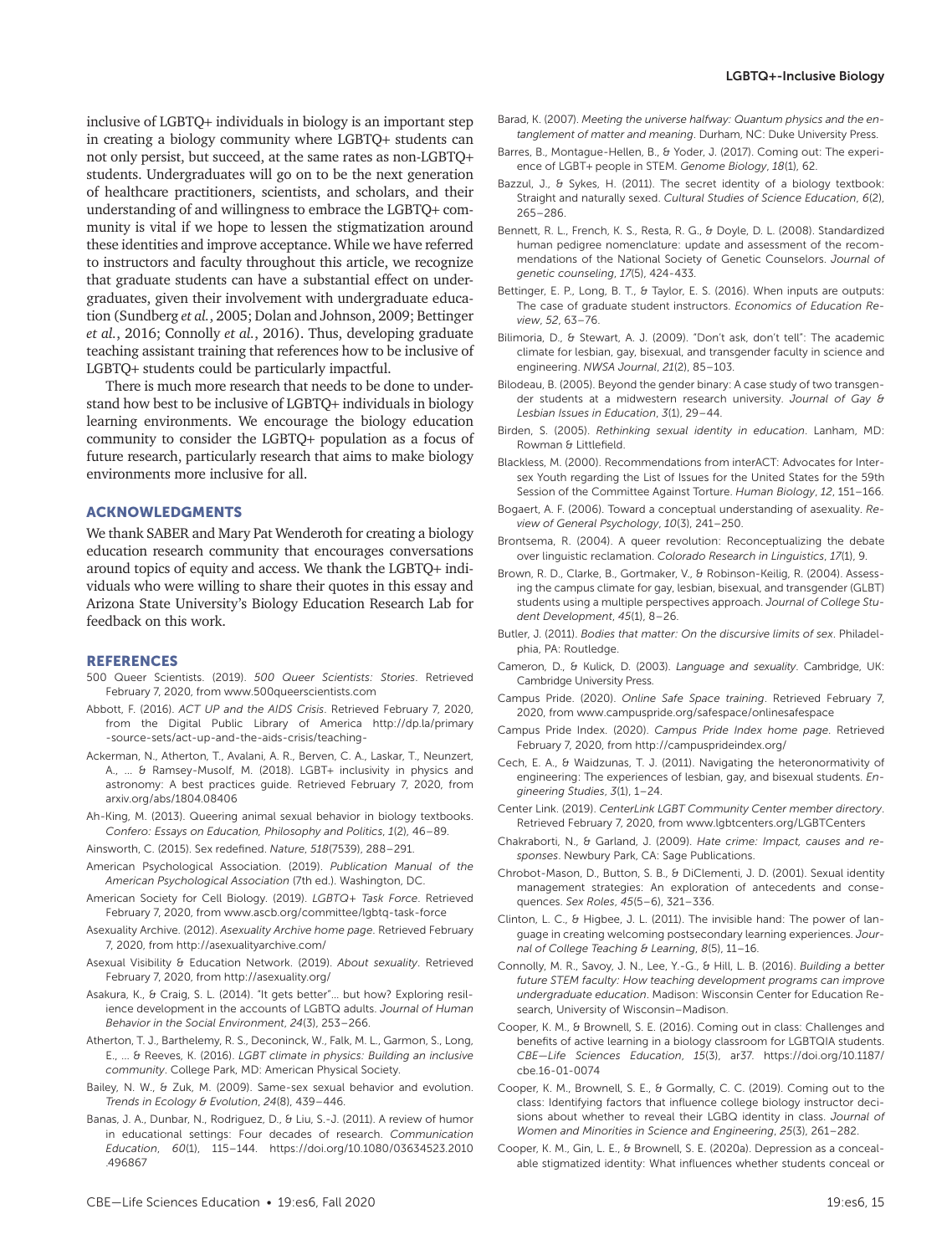inclusive of LGBTQ+ individuals in biology is an important step in creating a biology community where LGBTQ+ students can not only persist, but succeed, at the same rates as non-LGBTQ+ students. Undergraduates will go on to be the next generation of healthcare practitioners, scientists, and scholars, and their understanding of and willingness to embrace the LGBTQ+ community is vital if we hope to lessen the stigmatization around these identities and improve acceptance. While we have referred to instructors and faculty throughout this article, we recognize that graduate students can have a substantial effect on undergraduates, given their involvement with undergraduate education (Sundberg *et al.*, 2005; Dolan and Johnson, 2009; Bettinger *et al.*, 2016; Connolly *et al.*, 2016). Thus, developing graduate teaching assistant training that references how to be inclusive of LGBTQ+ students could be particularly impactful.

There is much more research that needs to be done to understand how best to be inclusive of LGBTQ+ individuals in biology learning environments. We encourage the biology education community to consider the LGBTQ+ population as a focus of future research, particularly research that aims to make biology environments more inclusive for all.

#### ACKNOWLEDGMENTS

We thank SABER and Mary Pat Wenderoth for creating a biology education research community that encourages conversations around topics of equity and access. We thank the LGBTQ+ individuals who were willing to share their quotes in this essay and Arizona State University's Biology Education Research Lab for feedback on this work.

#### **REFERENCES**

- 500 Queer Scientists. (2019). *500 Queer Scientists: Stories*. Retrieved February 7, 2020, from www.500queerscientists.com
- Abbott, F. (2016). *ACT UP and the AIDS Crisis*. Retrieved February 7, 2020, from the Digital Public Library of America [http://dp.la/primary](http://dp.la/primary-source-sets/act-up-and-the-aids-crisis/teaching-) [-source-sets/act-up-and-the-aids-crisis/teaching-](http://dp.la/primary-source-sets/act-up-and-the-aids-crisis/teaching-)
- Ackerman, N., Atherton, T., Avalani, A. R., Berven, C. A., Laskar, T., Neunzert, A., ... & Ramsey-Musolf, M. (2018). LGBT+ inclusivity in physics and astronomy: A best practices guide. Retrieved February 7, 2020, from [arxiv.org/abs/1804.08406](https://arxiv.org/abs/1804.08406)
- Ah-King, M. (2013). Queering animal sexual behavior in biology textbooks. *Confero: Essays on Education, Philosophy and Politics*, *1*(2), 46–89.
- Ainsworth, C. (2015). Sex redefined. *Nature*, *518*(7539), 288–291.
- American Psychological Association. (2019). *Publication Manual of the American Psychological Association* (7th ed.). Washington, DC.
- American Society for Cell Biology. (2019). *LGBTQ*+ *Task Force*. Retrieved February 7, 2020, from [www.ascb.org/committee/lgbtq-task-force](https://www.ascb.org/committee/lgbtq-task-force)
- Asexuality Archive. (2012). *Asexuality Archive home page*. Retrieved February 7, 2020, from http://asexualityarchive.com/
- Asexual Visibility & Education Network. (2019). *About sexuality*. Retrieved February 7, 2020, from http://asexuality.org/
- Asakura, K., & Craig, S. L. (2014). "It gets better"… but how? Exploring resilience development in the accounts of LGBTQ adults. *Journal of Human Behavior in the Social Environment*, *24*(3), 253–266.
- Atherton, T. J., Barthelemy, R. S., Deconinck, W., Falk, M. L., Garmon, S., Long, E., ... & Reeves, K. (2016). *LGBT climate in physics: Building an inclusive community*. College Park, MD: American Physical Society.
- Bailey, N. W., & Zuk, M. (2009). Same-sex sexual behavior and evolution. *Trends in Ecology & Evolution*, *24*(8), 439–446.
- Banas, J. A., Dunbar, N., Rodriguez, D., & Liu, S.-J. (2011). A review of humor in educational settings: Four decades of research. *Communication Education*, *60*(1), 115–144. [https://doi.org/10.1080/03634523.2010](https://doi.org/10.1080/03634523.2010.496867) [.496867](https://doi.org/10.1080/03634523.2010.496867)
- CBE—Life Sciences Education 19:es6, Fall 2020 19:essex 15 and 19:essex 15 and 19:essex 15
- Barad, K. (2007). *Meeting the universe halfway: Quantum physics and the entanglement of matter and meaning*. Durham, NC: Duke University Press.
- Barres, B., Montague-Hellen, B., & Yoder, J. (2017). Coming out: The experience of LGBT+ people in STEM. *Genome Biology*, *18*(1), 62.
- Bazzul, J., & Sykes, H. (2011). The secret identity of a biology textbook: Straight and naturally sexed. *Cultural Studies of Science Education*, *6*(2), 265–286.
- Bennett, R. L., French, K. S., Resta, R. G., & Doyle, D. L. (2008). Standardized human pedigree nomenclature: update and assessment of the recommendations of the National Society of Genetic Counselors. *Journal of genetic counseling*, *17*(5), 424-433.
- Bettinger, E. P., Long, B. T., & Taylor, E. S. (2016). When inputs are outputs: The case of graduate student instructors. *Economics of Education Review*, *52*, 63–76.
- Bilimoria, D., & Stewart, A. J. (2009). "Don't ask, don't tell": The academic climate for lesbian, gay, bisexual, and transgender faculty in science and engineering. *NWSA Journal*, *21*(2), 85–103.
- Bilodeau, B. (2005). Beyond the gender binary: A case study of two transgender students at a midwestern research university. *Journal of Gay & Lesbian Issues in Education*, *3*(1), 29–44.
- Birden, S. (2005). *Rethinking sexual identity in education*. Lanham, MD: Rowman & Littlefield.
- Blackless, M. (2000). Recommendations from interACT: Advocates for Intersex Youth regarding the List of Issues for the United States for the 59th Session of the Committee Against Torture. *Human Biology*, *12*, 151–166.
- Bogaert, A. F. (2006). Toward a conceptual understanding of asexuality. *Review of General Psychology*, *10*(3), 241–250.
- Brontsema, R. (2004). A queer revolution: Reconceptualizing the debate over linguistic reclamation. *Colorado Research in Linguistics*, *17*(1), 9.
- Brown, R. D., Clarke, B., Gortmaker, V., & Robinson-Keilig, R. (2004). Assessing the campus climate for gay, lesbian, bisexual, and transgender (GLBT) students using a multiple perspectives approach. *Journal of College Student Development*, *45*(1), 8–26.
- Butler, J. (2011). *Bodies that matter: On the discursive limits of sex*. Philadelphia, PA: Routledge.
- Cameron, D., & Kulick, D. (2003). *Language and sexuality*. Cambridge, UK: Cambridge University Press.
- Campus Pride. (2020). *Online Safe Space training*. Retrieved February 7, 2020, from [www.campuspride.org/safespace/onlinesafespace](http://www.campuspride.org/safespace/onlinesafespace)
- Campus Pride Index. (2020). *Campus Pride Index home page*. Retrieved February 7, 2020, from [http://campusprideindex.org/](from http://campusprideindex.org/)
- Cech, E. A., & Waidzunas, T. J. (2011). Navigating the heteronormativity of engineering: The experiences of lesbian, gay, and bisexual students. *Engineering Studies*, *3*(1), 1–24.
- Center Link. (2019). *CenterLink LGBT Community Center member directory*. Retrieved February 7, 2020, from [www.lgbtcenters.org/LGBTCenters](http://www.lgbtcenters.org/LGBTCenters)
- Chakraborti, N., & Garland, J. (2009). *Hate crime: Impact, causes and responses*. Newbury Park, CA: Sage Publications.
- Chrobot-Mason, D., Button, S. B., & DiClementi, J. D. (2001). Sexual identity management strategies: An exploration of antecedents and consequences. *Sex Roles*, *45*(5–6), 321–336.
- Clinton, L. C., & Higbee, J. L. (2011). The invisible hand: The power of language in creating welcoming postsecondary learning experiences. *Journal of College Teaching & Learning*, *8*(5), 11–16.
- Connolly, M. R., Savoy, J. N., Lee, Y.-G., & Hill, L. B. (2016). *Building a better future STEM faculty: How teaching development programs can improve undergraduate education*. Madison: Wisconsin Center for Education Research, University of Wisconsin–Madison.
- Cooper, K. M., & Brownell, S. E. (2016). Coming out in class: Challenges and benefits of active learning in a biology classroom for LGBTQIA students. *CBE—Life Sciences Education*, *15*(3), ar37. [https://doi.org/10.1187/](https://doi.org/10.1187/cbe.16-01-0074) [cbe.16-01-0074](https://doi.org/10.1187/cbe.16-01-0074)
- Cooper, K. M., Brownell, S. E., & Gormally, C. C. (2019). Coming out to the class: Identifying factors that influence college biology instructor decisions about whether to reveal their LGBQ identity in class. *Journal of Women and Minorities in Science and Engineering*, *25*(3), 261–282.
- Cooper, K. M., Gin, L. E., & Brownell, S. E. (2020a). Depression as a concealable stigmatized identity: What influences whether students conceal or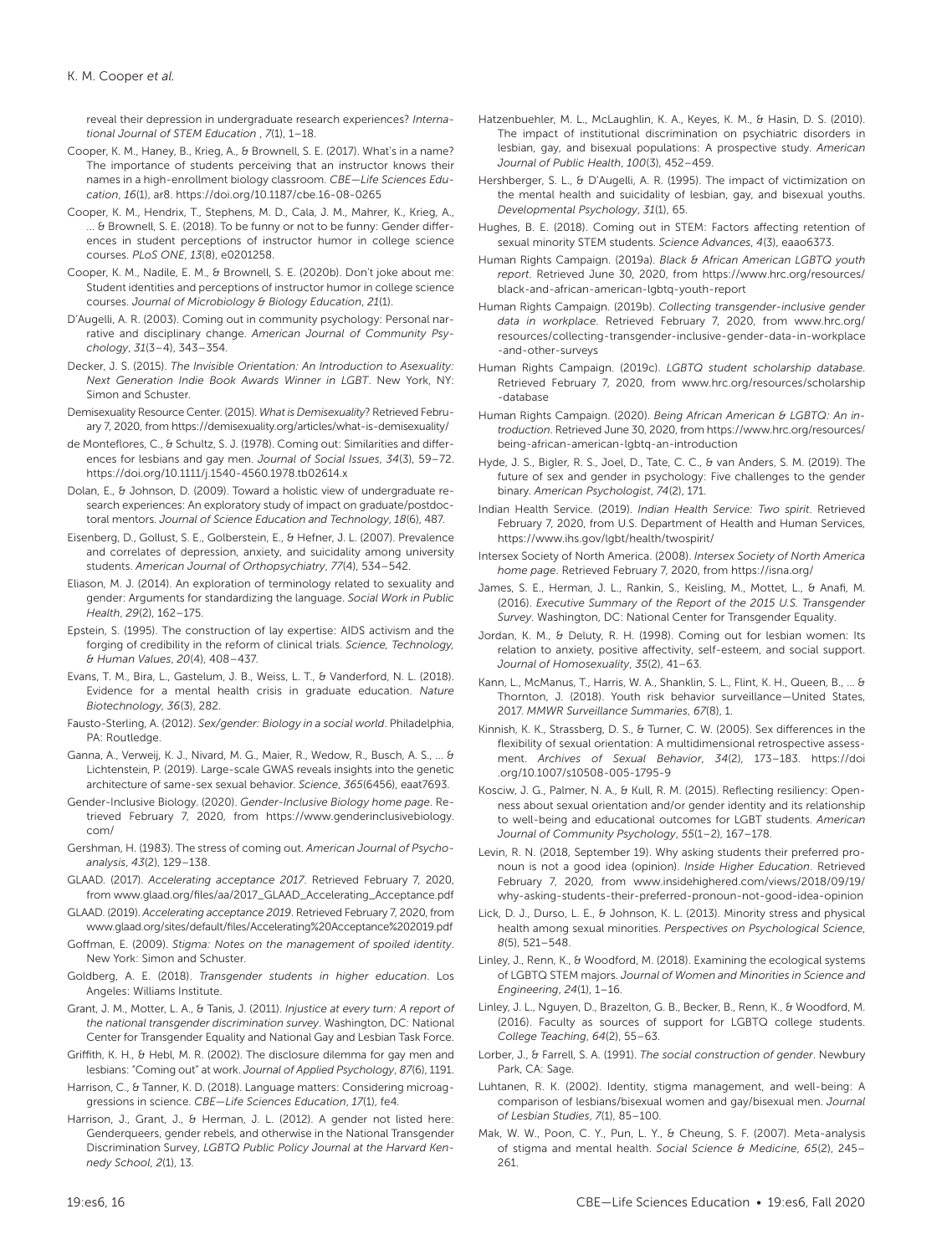reveal their depression in undergraduate research experiences? *International Journal of STEM Education* , *7*(1), 1–18.

- Cooper, K. M., Haney, B., Krieg, A., & Brownell, S. E. (2017). What's in a name? The importance of students perceiving that an instructor knows their names in a high-enrollment biology classroom. *CBE—Life Sciences Education*, *16*(1), ar8. <https://doi.org/10.1187/cbe.16-08-0265>
- Cooper, K. M., Hendrix, T., Stephens, M. D., Cala, J. M., Mahrer, K., Krieg, A., ... & Brownell, S. E. (2018). To be funny or not to be funny: Gender differences in student perceptions of instructor humor in college science courses. *PLoS ONE*, *13*(8), e0201258.
- Cooper, K. M., Nadile, E. M., & Brownell, S. E. (2020b). Don't joke about me: Student identities and perceptions of instructor humor in college science courses. *Journal of Microbiology & Biology Education*, *21*(1).
- D'Augelli, A. R. (2003). Coming out in community psychology: Personal narrative and disciplinary change. *American Journal of Community Psychology*, *31*(3–4), 343–354.
- Decker, J. S. (2015). *The Invisible Orientation: An Introduction to Asexuality: Next Generation Indie Book Awards Winner in LGBT*. New York, NY: Simon and Schuster.
- Demisexuality Resource Center. (2015). *What is Demisexuality*? Retrieved February 7, 2020, from<https://demisexuality.org/articles/what-is-demisexuality/>
- de Monteflores, C., & Schultz, S. J. (1978). Coming out: Similarities and differences for lesbians and gay men. *Journal of Social Issues*, *34*(3), 59–72. <https://doi.org/10.1111/j.1540-4560.1978.tb02614.x>
- Dolan, E., & Johnson, D. (2009). Toward a holistic view of undergraduate research experiences: An exploratory study of impact on graduate/postdoctoral mentors. *Journal of Science Education and Technology*, *18*(6), 487.
- Eisenberg, D., Gollust, S. E., Golberstein, E., & Hefner, J. L. (2007). Prevalence and correlates of depression, anxiety, and suicidality among university students. *American Journal of Orthopsychiatry*, *77*(4), 534–542.
- Eliason, M. J. (2014). An exploration of terminology related to sexuality and gender: Arguments for standardizing the language. *Social Work in Public Health*, *29*(2), 162–175.
- Epstein, S. (1995). The construction of lay expertise: AIDS activism and the forging of credibility in the reform of clinical trials. *Science, Technology, & Human Values*, *20*(4), 408–437.
- Evans, T. M., Bira, L., Gastelum, J. B., Weiss, L. T., & Vanderford, N. L. (2018). Evidence for a mental health crisis in graduate education. *Nature Biotechnology*, *36*(3), 282.
- Fausto-Sterling, A. (2012). *Sex/gender: Biology in a social world*. Philadelphia, PA: Routledge
- Ganna, A., Verweij, K. J., Nivard, M. G., Maier, R., Wedow, R., Busch, A. S., ... & Lichtenstein, P. (2019). Large-scale GWAS reveals insights into the genetic architecture of same-sex sexual behavior. *Science*, *365*(6456), eaat7693.
- Gender-Inclusive Biology. (2020). *Gender-Inclusive Biology home page*. Retrieved February 7, 2020, from [https://www.genderinclusivebiology.](https://www.genderinclusivebiology.com/) [com/](https://www.genderinclusivebiology.com/)
- Gershman, H. (1983). The stress of coming out. *American Journal of Psychoanalysis*, *43*(2), 129–138.
- GLAAD. (2017). *Accelerating acceptance 2017*. Retrieved February 7, 2020, from [www.glaad.org/files/aa/2017\\_GLAAD\\_Accelerating\\_Acceptance.pdf](http://www.glaad.org/files/aa/2017_GLAAD_Accelerating_Acceptance.pdf)
- GLAAD. (2019). *Accelerating acceptance 2019*. Retrieved February 7, 2020, from [www.glaad.org/sites/default/files/Accelerating%20Acceptance%202019.pdf](https://www.glaad.org/sites/default/files/Accelerating%20Acceptance%202019.pdf)
- Goffman, E. (2009). *Stigma: Notes on the management of spoiled identity*. New York: Simon and Schuster.
- Goldberg, A. E. (2018). *Transgender students in higher education*. Los Angeles: Williams Institute.
- Grant, J. M., Motter, L. A., & Tanis, J. (2011). *Injustice at every turn: A report of the national transgender discrimination survey*. Washington, DC: National Center for Transgender Equality and National Gay and Lesbian Task Force.
- Griffith, K. H., & Hebl, M. R. (2002). The disclosure dilemma for gay men and lesbians: "Coming out" at work. *Journal of Applied Psychology*, *87*(6), 1191.
- Harrison, C., & Tanner, K. D. (2018). Language matters: Considering microaggressions in science. *CBE—Life Sciences Education*, *17*(1), fe4.
- Harrison, J., Grant, J., & Herman, J. L. (2012). A gender not listed here: Genderqueers, gender rebels, and otherwise in the National Transgender Discrimination Survey, *LGBTQ Public Policy Journal at the Harvard Kennedy School*, *2*(1), 13.
- Hatzenbuehler, M. L., McLaughlin, K. A., Keyes, K. M., & Hasin, D. S. (2010). The impact of institutional discrimination on psychiatric disorders in lesbian, gay, and bisexual populations: A prospective study. *American Journal of Public Health*, *100*(3), 452–459.
- Hershberger, S. L., & D'Augelli, A. R. (1995). The impact of victimization on the mental health and suicidality of lesbian, gay, and bisexual youths. *Developmental Psychology*, *31*(1), 65.
- Hughes, B. E. (2018). Coming out in STEM: Factors affecting retention of sexual minority STEM students. *Science Advances*, *4*(3), eaao6373.
- Human Rights Campaign. (2019a). *Black & African American LGBTQ youth report*. Retrieved June 30, 2020, from [https://www.hrc.org/resources/](https://www.hrc.org/resources/black-and-african-american-lgbtq-youth-report) [black-and-african-american-lgbtq-youth-report](https://www.hrc.org/resources/black-and-african-american-lgbtq-youth-report)
- Human Rights Campaign. (2019b). *Collecting transgender-inclusive gender data in workplace*. Retrieved February 7, 2020, from [www.hrc.org/](http://www.hrc.org/resources/collecting-transgender-inclusive-gender-data-in-workplace-and-other-surveys) [resources/collecting-transgender-inclusive-gender-data-in-workplace](http://www.hrc.org/resources/collecting-transgender-inclusive-gender-data-in-workplace-and-other-surveys) [-and-other-surveys](http://www.hrc.org/resources/collecting-transgender-inclusive-gender-data-in-workplace-and-other-surveys)
- Human Rights Campaign. (2019c). *LGBTQ student scholarship database*. Retrieved February 7, 2020, from [www.hrc.org/resources/scholarship](https://www.hrc.org/resources/scholarship-database) [-database](https://www.hrc.org/resources/scholarship-database)
- Human Rights Campaign. (2020). *Being African American & LGBTQ: An introduction*. Retrieved June 30, 2020, from [https://www.hrc.org/resources/](https://www.hrc.org/resources/being-african-american-lgbtq-an-introduction) [being-african-american-lgbtq-an-introduction](https://www.hrc.org/resources/being-african-american-lgbtq-an-introduction)
- Hyde, J. S., Bigler, R. S., Joel, D., Tate, C. C., & van Anders, S. M. (2019). The future of sex and gender in psychology: Five challenges to the gender binary. *American Psychologist*, *74*(2), 171.
- Indian Health Service. (2019). *Indian Health Service: Two spirit*. Retrieved February 7, 2020, from U.S. Department of Health and Human Services, <https://www.ihs.gov/lgbt/health/twospirit/>
- Intersex Society of North America. (2008). *Intersex Society of North America home page*. Retrieved February 7, 2020, from<https://isna.org/>
- James, S. E., Herman, J. L., Rankin, S., Keisling, M., Mottet, L., & Anafi, M. (2016). *Executive Summary of the Report of the 2015 U.S. Transgender Survey*. Washington, DC: National Center for Transgender Equality.
- Jordan, K. M., & Deluty, R. H. (1998). Coming out for lesbian women: Its relation to anxiety, positive affectivity, self-esteem, and social support. *Journal of Homosexuality*, *35*(2), 41–63.
- Kann, L., McManus, T., Harris, W. A., Shanklin, S. L., Flint, K. H., Queen, B., ... & Thornton, J. (2018). Youth risk behavior surveillance—United States, 2017. *MMWR Surveillance Summaries*, *67*(8), 1.
- Kinnish, K. K., Strassberg, D. S., & Turner, C. W. (2005). Sex differences in the flexibility of sexual orientation: A multidimensional retrospective assessment. *Archives of Sexual Behavior*, *34*(2), 173–183. [https://doi](https://doi.org/10.1007/s10508-005-1795-9) [.org/10.1007/s10508-005-1795-9](https://doi.org/10.1007/s10508-005-1795-9)
- Kosciw, J. G., Palmer, N. A., & Kull, R. M. (2015). Reflecting resiliency: Openness about sexual orientation and/or gender identity and its relationship to well-being and educational outcomes for LGBT students. *American Journal of Community Psychology*, *55*(1–2), 167–178.
- Levin, R. N. (2018, September 19). Why asking students their preferred pronoun is not a good idea (opinion). *Inside Higher Education*. Retrieved February 7, 2020, from [www.insidehighered.com/views/2018/09/19/](www.insidehighered.com/views/2018/09/19/why-asking-students-their-preferred-pronoun-not-good-idea-opinion) [why-asking-students-their-preferred-pronoun-not-good-idea-opinion](www.insidehighered.com/views/2018/09/19/why-asking-students-their-preferred-pronoun-not-good-idea-opinion)
- Lick, D. J., Durso, L. E., & Johnson, K. L. (2013). Minority stress and physical health among sexual minorities. *Perspectives on Psychological Science*, *8*(5), 521–548.
- Linley, J., Renn, K., & Woodford, M. (2018). Examining the ecological systems of LGBTQ STEM majors. *Journal of Women and Minorities in Science and Engineering*, *24*(1), 1–16.
- Linley, J. L., Nguyen, D., Brazelton, G. B., Becker, B., Renn, K., & Woodford, M. (2016). Faculty as sources of support for LGBTQ college students. *College Teaching*, *64*(2), 55–63.
- Lorber, J., & Farrell, S. A. (1991). *The social construction of gender*. Newbury Park, CA: Sage.
- Luhtanen, R. K. (2002). Identity, stigma management, and well-being: A comparison of lesbians/bisexual women and gay/bisexual men. *Journal of Lesbian Studies*, *7*(1), 85–100.
- Mak, W. W., Poon, C. Y., Pun, L. Y., & Cheung, S. F. (2007). Meta-analysis of stigma and mental health. *Social Science & Medicine*, *65*(2), 245– 261.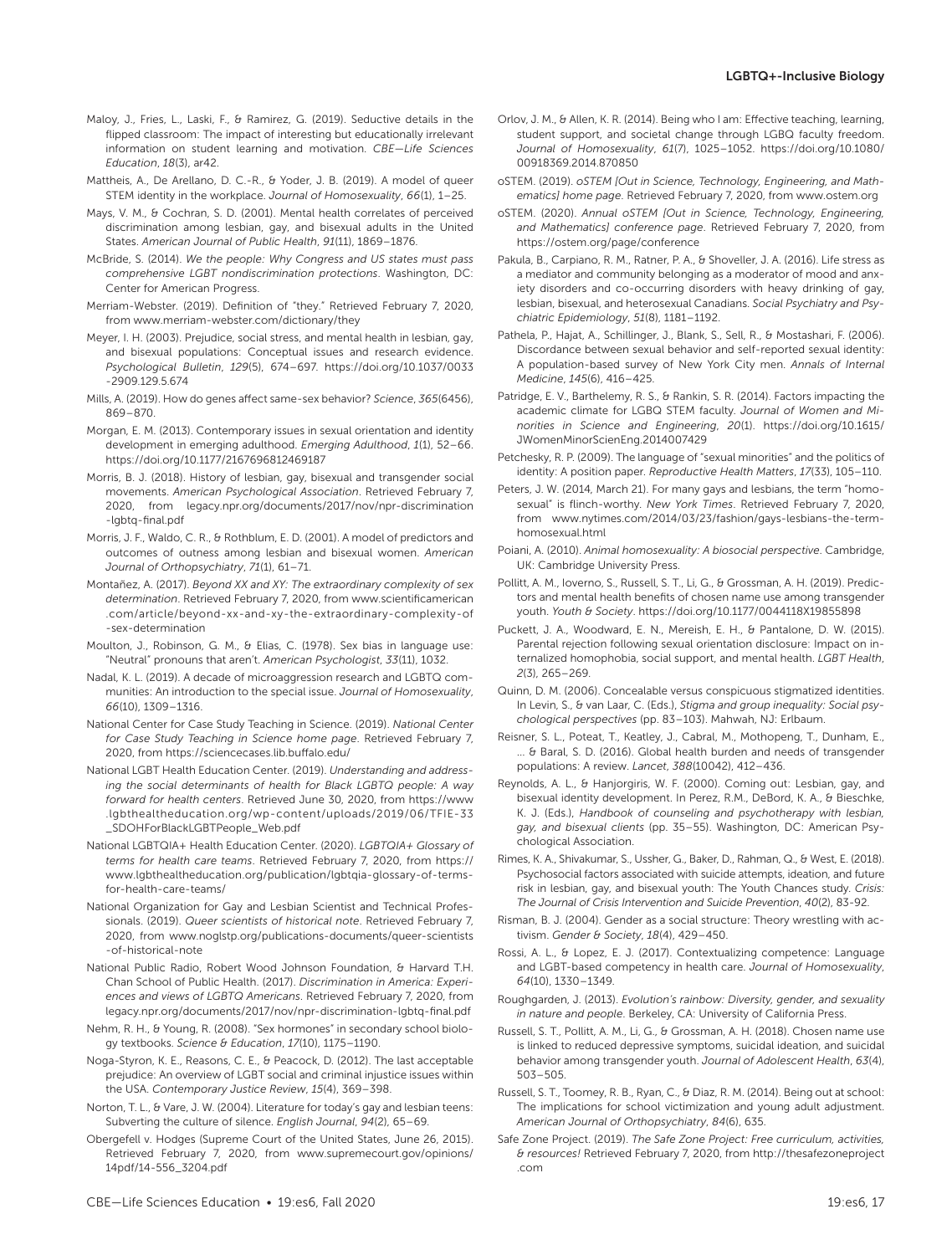- Maloy, J., Fries, L., Laski, F., & Ramirez, G. (2019). Seductive details in the flipped classroom: The impact of interesting but educationally irrelevant information on student learning and motivation. *CBE—Life Sciences Education*, *18*(3), ar42.
- Mattheis, A., De Arellano, D. C.-R., & Yoder, J. B. (2019). A model of queer STEM identity in the workplace. *Journal of Homosexuality*, *66*(1), 1–25.
- Mays, V. M., & Cochran, S. D. (2001). Mental health correlates of perceived discrimination among lesbian, gay, and bisexual adults in the United States. *American Journal of Public Health*, *91*(11), 1869–1876.
- McBride, S. (2014). *We the people: Why Congress and US states must pass comprehensive LGBT nondiscrimination protections*. Washington, DC: Center for American Progress.
- Merriam-Webster. (2019). Definition of "they." Retrieved February 7, 2020, from [www.merriam-webster.com/dictionary/they](http://www.merriam-webster.com/dictionary/they)
- Meyer, I. H. (2003). Prejudice, social stress, and mental health in lesbian, gay, and bisexual populations: Conceptual issues and research evidence. *Psychological Bulletin*, *129*(5), 674–697. [https://doi.org/10.1037/0033](https://doi.org/10.1037/0033-2909.129.5.674) [-2909.129.5.674](https://doi.org/10.1037/0033-2909.129.5.674)
- Mills, A. (2019). How do genes affect same-sex behavior? *Science*, *365*(6456), 869–870.
- Morgan, E. M. (2013). Contemporary issues in sexual orientation and identity development in emerging adulthood. *Emerging Adulthood*, *1*(1), 52–66. https://doi.org/10.1177/2167696812469187
- Morris, B. J. (2018). History of lesbian, gay, bisexual and transgender social movements. *American Psychological Association*. Retrieved February 7, 2020, from [legacy.npr.org/documents/2017/nov/npr-discrimination](https://legacy.npr.org/documents/2017/nov/npr-discrimination-lgbtq-final.pdf) [-lgbtq-final.pdf](https://legacy.npr.org/documents/2017/nov/npr-discrimination-lgbtq-final.pdf)
- Morris, J. F., Waldo, C. R., & Rothblum, E. D. (2001). A model of predictors and outcomes of outness among lesbian and bisexual women. *American Journal of Orthopsychiatry*, *71*(1), 61–71.
- Montañez, A. (2017). *Beyond XX and XY: The extraordinary complexity of sex determination*. Retrieved February 7, 2020, from [www.scientificamerican](http://www.scientificamerican.com/article/beyond-xx-and-xy-the-extraordinary-complexity-of-sex-determination) [.com/article/beyond-xx-and-xy-the-extraordinary-complexity-of](http://www.scientificamerican.com/article/beyond-xx-and-xy-the-extraordinary-complexity-of-sex-determination) [-sex-determination](http://www.scientificamerican.com/article/beyond-xx-and-xy-the-extraordinary-complexity-of-sex-determination)
- Moulton, J., Robinson, G. M., & Elias, C. (1978). Sex bias in language use: "Neutral" pronouns that aren't. *American Psychologist*, *33*(11), 1032.
- Nadal, K. L. (2019). A decade of microaggression research and LGBTQ communities: An introduction to the special issue. *Journal of Homosexuality*, *66*(10), 1309–1316.
- National Center for Case Study Teaching in Science. (2019). *National Center for Case Study Teaching in Science home page*. Retrieved February 7, 2020, from<https://sciencecases.lib.buffalo.edu/>
- National LGBT Health Education Center. (2019). *Understanding and addressing the social determinants of health for Black LGBTQ people: A way forward for health centers*. Retrieved June 30, 2020, from [https://www](https://www.lgbthealtheducation.org/wp-content/uploads/2019/06/TFIE-33_SDOHForBlackLGBTPeople_Web.pdf) [.lgbthealtheducation.org/wp-content/uploads/2019/06/TFIE-33](https://www.lgbthealtheducation.org/wp-content/uploads/2019/06/TFIE-33_SDOHForBlackLGBTPeople_Web.pdf) [\\_SDOHForBlackLGBTPeople\\_Web.pdf](https://www.lgbthealtheducation.org/wp-content/uploads/2019/06/TFIE-33_SDOHForBlackLGBTPeople_Web.pdf)
- National LGBTQIA+ Health Education Center. (2020). *LGBTQIA+ Glossary of terms for health care teams*. Retrieved February 7, 2020, from [https://](https://www.lgbthealtheducation.org/publication/lgbtqia-glossary-of-terms-for-health-care-teams/) [www.lgbthealtheducation.org/publication/lgbtqia-glossary-of-terms](https://www.lgbthealtheducation.org/publication/lgbtqia-glossary-of-terms-for-health-care-teams/)[for-health-care-teams/](https://www.lgbthealtheducation.org/publication/lgbtqia-glossary-of-terms-for-health-care-teams/)
- National Organization for Gay and Lesbian Scientist and Technical Professionals. (2019). *Queer scientists of historical note*. Retrieved February 7, 2020, from [www.noglstp.org/publications-documents/queer-scientists](http://www.noglstp.org/publications-documents/queer-scientists-of-historical-note) [-of-historical-note](http://www.noglstp.org/publications-documents/queer-scientists-of-historical-note)
- National Public Radio, Robert Wood Johnson Foundation, & Harvard T.H. Chan School of Public Health. (2017). *Discrimination in America: Experiences and views of LGBTQ Americans*. Retrieved February 7, 2020, from [legacy.npr.org/documents/2017/nov/npr-discrimination-lgbtq-final.pdf](https://legacy.npr.org/documents/2017/nov/npr-discrimination-lgbtq-final.pdf)
- Nehm, R. H., & Young, R. (2008). "Sex hormones" in secondary school biology textbooks. *Science & Education*, *17*(10), 1175–1190.
- Noga-Styron, K. E., Reasons, C. E., & Peacock, D. (2012). The last acceptable prejudice: An overview of LGBT social and criminal injustice issues within the USA. *Contemporary Justice Review*, *15*(4), 369–398.
- Norton, T. L., & Vare, J. W. (2004). Literature for today's gay and lesbian teens: Subverting the culture of silence. *English Journal*, *94*(2), 65–69.
- Obergefell v. Hodges (Supreme Court of the United States, June 26, 2015). Retrieved February 7, 2020, from [www.supremecourt.gov/opinions/](http://www.supremecourt.gov/opinions/14pdf/14-556_3204.pdf) [14pdf/14-556\\_3204.pdf](http://www.supremecourt.gov/opinions/14pdf/14-556_3204.pdf)
- Orlov, J. M., & Allen, K. R. (2014). Being who I am: Effective teaching, learning, student support, and societal change through LGBQ faculty freedom. *Journal of Homosexuality*, *61*(7), 1025–1052. [https://doi.org/10.1080/](https://doi.org/10.1080/00918369.2014.870850) [00918369.2014.870850](https://doi.org/10.1080/00918369.2014.870850)
- oSTEM. (2019). *oSTEM [Out in Science, Technology, Engineering, and Mathematics] home page*. Retrieved February 7, 2020, from [www.ostem.org](http://www.ostem.org)
- oSTEM. (2020). *Annual oSTEM [Out in Science, Technology, Engineering, and Mathematics] conference page*. Retrieved February 7, 2020, from <https://ostem.org/page/conference>
- Pakula, B., Carpiano, R. M., Ratner, P. A., & Shoveller, J. A. (2016). Life stress as a mediator and community belonging as a moderator of mood and anxiety disorders and co-occurring disorders with heavy drinking of gay, lesbian, bisexual, and heterosexual Canadians. *Social Psychiatry and Psychiatric Epidemiology*, *51*(8), 1181–1192.
- Pathela, P., Hajat, A., Schillinger, J., Blank, S., Sell, R., & Mostashari, F. (2006). Discordance between sexual behavior and self-reported sexual identity: A population-based survey of New York City men. *Annals of Internal Medicine*, *145*(6), 416–425.
- Patridge, E. V., Barthelemy, R. S., & Rankin, S. R. (2014). Factors impacting the academic climate for LGBQ STEM faculty. *Journal of Women and Minorities in Science and Engineering*, *20*(1). [https://doi.org/10.1615/](https://doi.org/10.1615/JWomenMinorScienEng.2014007429) [JWomenMinorScienEng.2014007429](https://doi.org/10.1615/JWomenMinorScienEng.2014007429)
- Petchesky, R. P. (2009). The language of "sexual minorities" and the politics of identity: A position paper. *Reproductive Health Matters*, *17*(33), 105–110.
- Peters, J. W. (2014, March 21). For many gays and lesbians, the term "homosexual" is flinch-worthy. *New York Times*. Retrieved February 7, 2020, from [www.nytimes.com/2014/03/23/fashion/gays-lesbians-the-term](http://www.nytimes.com/2014/03/23/fashion/gays-lesbians-the-term-homosexual.html)[homosexual.html](http://www.nytimes.com/2014/03/23/fashion/gays-lesbians-the-term-homosexual.html)
- Poiani, A. (2010). *Animal homosexuality: A biosocial perspective*. Cambridge, UK: Cambridge University Press.
- Pollitt, A. M., Ioverno, S., Russell, S. T., Li, G., & Grossman, A. H. (2019). Predictors and mental health benefits of chosen name use among transgender youth. *Youth & Society*. <https://doi.org/10.1177/0044118X19855898>
- Puckett, J. A., Woodward, E. N., Mereish, E. H., & Pantalone, D. W. (2015). Parental rejection following sexual orientation disclosure: Impact on internalized homophobia, social support, and mental health. *LGBT Health*, *2*(3), 265–269.
- Quinn, D. M. (2006). Concealable versus conspicuous stigmatized identities. In Levin, S., & van Laar, C. (Eds.), *Stigma and group inequality: Social psychological perspectives* (pp. 83–103). Mahwah, NJ: Erlbaum.
- Reisner, S. L., Poteat, T., Keatley, J., Cabral, M., Mothopeng, T., Dunham, E., ... & Baral, S. D. (2016). Global health burden and needs of transgender populations: A review. *Lancet*, *388*(10042), 412–436.
- Reynolds, A. L., & Hanjorgiris, W. F. (2000). Coming out: Lesbian, gay, and bisexual identity development. In Perez, R.M., DeBord, K. A., & Bieschke, K. J. (Eds.), *Handbook of counseling and psychotherapy with lesbian, gay, and bisexual clients* (pp. 35–55). Washington, DC: American Psychological Association.
- Rimes, K. A., Shivakumar, S., Ussher, G., Baker, D., Rahman, Q., & West, E. (2018). Psychosocial factors associated with suicide attempts, ideation, and future risk in lesbian, gay, and bisexual youth: The Youth Chances study. *Crisis: The Journal of Crisis Intervention and Suicide Prevention*, *40*(2), 83-92.
- Risman, B. J. (2004). Gender as a social structure: Theory wrestling with activism. *Gender & Society*, *18*(4), 429–450.
- Rossi, A. L., & Lopez, E. J. (2017). Contextualizing competence: Language and LGBT-based competency in health care. *Journal of Homosexuality*, *64*(10), 1330–1349.
- Roughgarden, J. (2013). *Evolution's rainbow: Diversity, gender, and sexuality in nature and people*. Berkeley, CA: University of California Press.
- Russell, S. T., Pollitt, A. M., Li, G., & Grossman, A. H. (2018). Chosen name use is linked to reduced depressive symptoms, suicidal ideation, and suicidal behavior among transgender youth. *Journal of Adolescent Health*, *63*(4), 503–505.
- Russell, S. T., Toomey, R. B., Ryan, C., & Diaz, R. M. (2014). Being out at school: The implications for school victimization and young adult adjustment. *American Journal of Orthopsychiatry*, *84*(6), 635.
- Safe Zone Project. (2019). *The Safe Zone Project: Free curriculum, activities, & resources!* Retrieved February 7, 2020, from [http://thesafezoneproject](http://thesafezoneproject.com) [.com](http://thesafezoneproject.com)